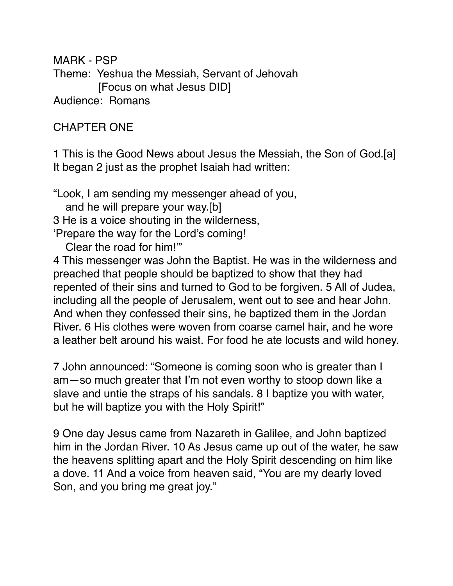MARK - PSP Theme: Yeshua the Messiah, Servant of Jehovah [Focus on what Jesus DID] Audience: Romans

# CHAPTER ONE

1 This is the Good News about Jesus the Messiah, the Son of God.[a] It began 2 just as the prophet Isaiah had written:

"Look, I am sending my messenger ahead of you, and he will prepare your way.[b] 3 He is a voice shouting in the wilderness, 'Prepare the way for the Lord's coming!

Clear the road for him!'"

4 This messenger was John the Baptist. He was in the wilderness and preached that people should be baptized to show that they had repented of their sins and turned to God to be forgiven. 5 All of Judea, including all the people of Jerusalem, went out to see and hear John. And when they confessed their sins, he baptized them in the Jordan River. 6 His clothes were woven from coarse camel hair, and he wore a leather belt around his waist. For food he ate locusts and wild honey.

7 John announced: "Someone is coming soon who is greater than I am—so much greater that I'm not even worthy to stoop down like a slave and untie the straps of his sandals. 8 I baptize you with water, but he will baptize you with the Holy Spirit!"

9 One day Jesus came from Nazareth in Galilee, and John baptized him in the Jordan River. 10 As Jesus came up out of the water, he saw the heavens splitting apart and the Holy Spirit descending on him like a dove. 11 And a voice from heaven said, "You are my dearly loved Son, and you bring me great joy."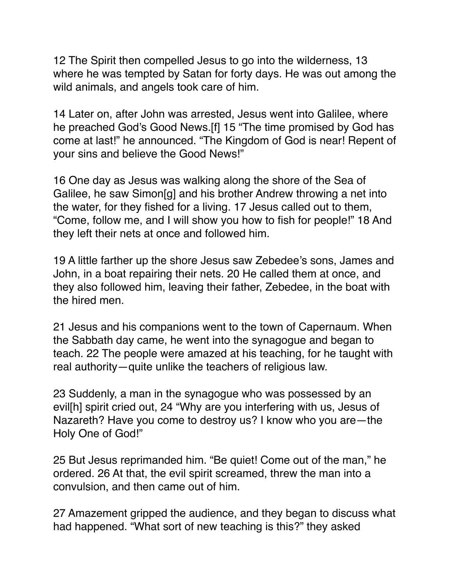12 The Spirit then compelled Jesus to go into the wilderness, 13 where he was tempted by Satan for forty days. He was out among the wild animals, and angels took care of him.

14 Later on, after John was arrested, Jesus went into Galilee, where he preached God's Good News.[f] 15 "The time promised by God has come at last!" he announced. "The Kingdom of God is near! Repent of your sins and believe the Good News!"

16 One day as Jesus was walking along the shore of the Sea of Galilee, he saw Simon[g] and his brother Andrew throwing a net into the water, for they fished for a living. 17 Jesus called out to them, "Come, follow me, and I will show you how to fish for people!" 18 And they left their nets at once and followed him.

19 A little farther up the shore Jesus saw Zebedee's sons, James and John, in a boat repairing their nets. 20 He called them at once, and they also followed him, leaving their father, Zebedee, in the boat with the hired men.

21 Jesus and his companions went to the town of Capernaum. When the Sabbath day came, he went into the synagogue and began to teach. 22 The people were amazed at his teaching, for he taught with real authority—quite unlike the teachers of religious law.

23 Suddenly, a man in the synagogue who was possessed by an evil[h] spirit cried out, 24 "Why are you interfering with us, Jesus of Nazareth? Have you come to destroy us? I know who you are—the Holy One of God!"

25 But Jesus reprimanded him. "Be quiet! Come out of the man," he ordered. 26 At that, the evil spirit screamed, threw the man into a convulsion, and then came out of him.

27 Amazement gripped the audience, and they began to discuss what had happened. "What sort of new teaching is this?" they asked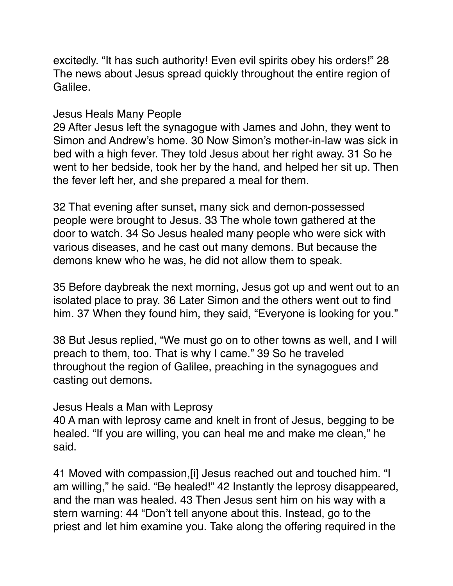excitedly. "It has such authority! Even evil spirits obey his orders!" 28 The news about Jesus spread quickly throughout the entire region of Galilee.

#### Jesus Heals Many People

29 After Jesus left the synagogue with James and John, they went to Simon and Andrew's home. 30 Now Simon's mother-in-law was sick in bed with a high fever. They told Jesus about her right away. 31 So he went to her bedside, took her by the hand, and helped her sit up. Then the fever left her, and she prepared a meal for them.

32 That evening after sunset, many sick and demon-possessed people were brought to Jesus. 33 The whole town gathered at the door to watch. 34 So Jesus healed many people who were sick with various diseases, and he cast out many demons. But because the demons knew who he was, he did not allow them to speak.

35 Before daybreak the next morning, Jesus got up and went out to an isolated place to pray. 36 Later Simon and the others went out to find him. 37 When they found him, they said, "Everyone is looking for you."

38 But Jesus replied, "We must go on to other towns as well, and I will preach to them, too. That is why I came." 39 So he traveled throughout the region of Galilee, preaching in the synagogues and casting out demons.

#### Jesus Heals a Man with Leprosy

40 A man with leprosy came and knelt in front of Jesus, begging to be healed. "If you are willing, you can heal me and make me clean," he said.

41 Moved with compassion,[i] Jesus reached out and touched him. "I am willing," he said. "Be healed!" 42 Instantly the leprosy disappeared, and the man was healed. 43 Then Jesus sent him on his way with a stern warning: 44 "Don't tell anyone about this. Instead, go to the priest and let him examine you. Take along the offering required in the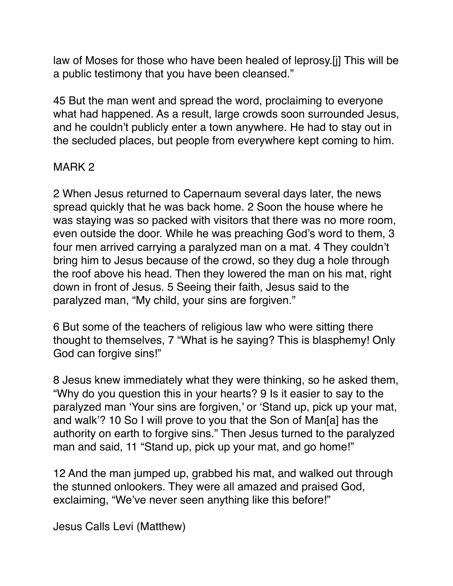law of Moses for those who have been healed of leprosy.[j] This will be a public testimony that you have been cleansed."

45 But the man went and spread the word, proclaiming to everyone what had happened. As a result, large crowds soon surrounded Jesus, and he couldn't publicly enter a town anywhere. He had to stay out in the secluded places, but people from everywhere kept coming to him.

# MARK 2

2 When Jesus returned to Capernaum several days later, the news spread quickly that he was back home. 2 Soon the house where he was staying was so packed with visitors that there was no more room, even outside the door. While he was preaching God's word to them, 3 four men arrived carrying a paralyzed man on a mat. 4 They couldn't bring him to Jesus because of the crowd, so they dug a hole through the roof above his head. Then they lowered the man on his mat, right down in front of Jesus. 5 Seeing their faith, Jesus said to the paralyzed man, "My child, your sins are forgiven."

6 But some of the teachers of religious law who were sitting there thought to themselves, 7 "What is he saying? This is blasphemy! Only God can forgive sins!"

8 Jesus knew immediately what they were thinking, so he asked them, "Why do you question this in your hearts? 9 Is it easier to say to the paralyzed man 'Your sins are forgiven,' or 'Stand up, pick up your mat, and walk'? 10 So I will prove to you that the Son of Man[a] has the authority on earth to forgive sins." Then Jesus turned to the paralyzed man and said, 11 "Stand up, pick up your mat, and go home!"

12 And the man jumped up, grabbed his mat, and walked out through the stunned onlookers. They were all amazed and praised God, exclaiming, "We've never seen anything like this before!"

Jesus Calls Levi (Matthew)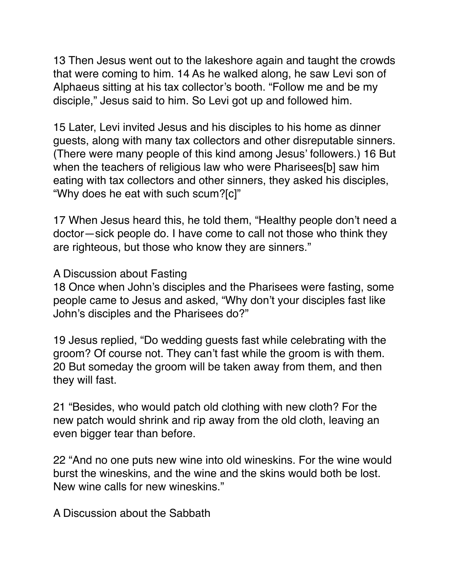13 Then Jesus went out to the lakeshore again and taught the crowds that were coming to him. 14 As he walked along, he saw Levi son of Alphaeus sitting at his tax collector's booth. "Follow me and be my disciple," Jesus said to him. So Levi got up and followed him.

15 Later, Levi invited Jesus and his disciples to his home as dinner guests, along with many tax collectors and other disreputable sinners. (There were many people of this kind among Jesus' followers.) 16 But when the teachers of religious law who were Pharisees[b] saw him eating with tax collectors and other sinners, they asked his disciples, "Why does he eat with such scum?[c]"

17 When Jesus heard this, he told them, "Healthy people don't need a doctor—sick people do. I have come to call not those who think they are righteous, but those who know they are sinners."

#### A Discussion about Fasting

18 Once when John's disciples and the Pharisees were fasting, some people came to Jesus and asked, "Why don't your disciples fast like John's disciples and the Pharisees do?"

19 Jesus replied, "Do wedding guests fast while celebrating with the groom? Of course not. They can't fast while the groom is with them. 20 But someday the groom will be taken away from them, and then they will fast.

21 "Besides, who would patch old clothing with new cloth? For the new patch would shrink and rip away from the old cloth, leaving an even bigger tear than before.

22 "And no one puts new wine into old wineskins. For the wine would burst the wineskins, and the wine and the skins would both be lost. New wine calls for new wineskins."

A Discussion about the Sabbath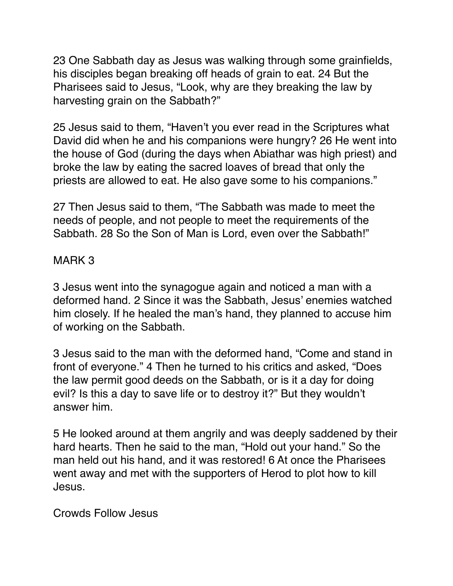23 One Sabbath day as Jesus was walking through some grainfields, his disciples began breaking off heads of grain to eat. 24 But the Pharisees said to Jesus, "Look, why are they breaking the law by harvesting grain on the Sabbath?"

25 Jesus said to them, "Haven't you ever read in the Scriptures what David did when he and his companions were hungry? 26 He went into the house of God (during the days when Abiathar was high priest) and broke the law by eating the sacred loaves of bread that only the priests are allowed to eat. He also gave some to his companions."

27 Then Jesus said to them, "The Sabbath was made to meet the needs of people, and not people to meet the requirements of the Sabbath. 28 So the Son of Man is Lord, even over the Sabbath!"

## MARK 3

3 Jesus went into the synagogue again and noticed a man with a deformed hand. 2 Since it was the Sabbath, Jesus' enemies watched him closely. If he healed the man's hand, they planned to accuse him of working on the Sabbath.

3 Jesus said to the man with the deformed hand, "Come and stand in front of everyone." 4 Then he turned to his critics and asked, "Does the law permit good deeds on the Sabbath, or is it a day for doing evil? Is this a day to save life or to destroy it?" But they wouldn't answer him.

5 He looked around at them angrily and was deeply saddened by their hard hearts. Then he said to the man, "Hold out your hand." So the man held out his hand, and it was restored! 6 At once the Pharisees went away and met with the supporters of Herod to plot how to kill Jesus.

Crowds Follow Jesus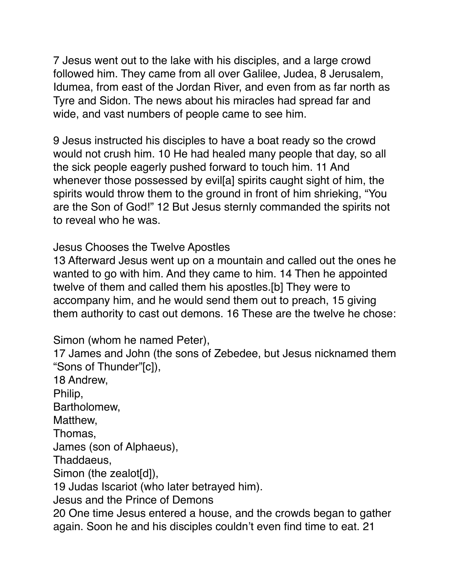7 Jesus went out to the lake with his disciples, and a large crowd followed him. They came from all over Galilee, Judea, 8 Jerusalem, Idumea, from east of the Jordan River, and even from as far north as Tyre and Sidon. The news about his miracles had spread far and wide, and vast numbers of people came to see him.

9 Jesus instructed his disciples to have a boat ready so the crowd would not crush him. 10 He had healed many people that day, so all the sick people eagerly pushed forward to touch him. 11 And whenever those possessed by evil[a] spirits caught sight of him, the spirits would throw them to the ground in front of him shrieking, "You are the Son of God!" 12 But Jesus sternly commanded the spirits not to reveal who he was.

Jesus Chooses the Twelve Apostles

13 Afterward Jesus went up on a mountain and called out the ones he wanted to go with him. And they came to him. 14 Then he appointed twelve of them and called them his apostles.[b] They were to accompany him, and he would send them out to preach, 15 giving them authority to cast out demons. 16 These are the twelve he chose:

Simon (whom he named Peter),

17 James and John (the sons of Zebedee, but Jesus nicknamed them "Sons of Thunder"[c]),

18 Andrew, Philip, Bartholomew, Matthew, Thomas, James (son of Alphaeus), Thaddaeus, Simon (the zealot[d]), 19 Judas Iscariot (who later betrayed him). Jesus and the Prince of Demons 20 One time Jesus entered a house, and the crowds began to gather again. Soon he and his disciples couldn't even find time to eat. 21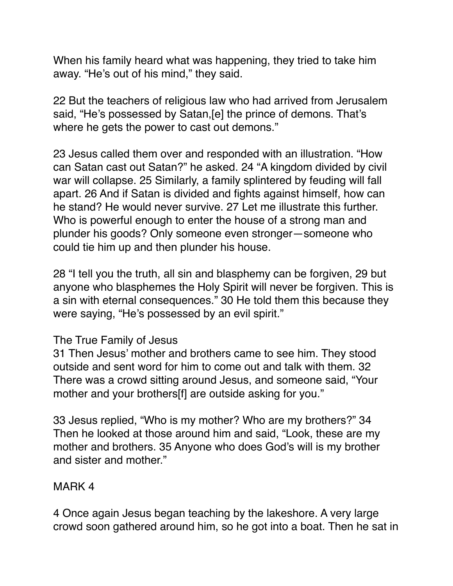When his family heard what was happening, they tried to take him away. "He's out of his mind," they said.

22 But the teachers of religious law who had arrived from Jerusalem said, "He's possessed by Satan,[e] the prince of demons. That's where he gets the power to cast out demons."

23 Jesus called them over and responded with an illustration. "How can Satan cast out Satan?" he asked. 24 "A kingdom divided by civil war will collapse. 25 Similarly, a family splintered by feuding will fall apart. 26 And if Satan is divided and fights against himself, how can he stand? He would never survive. 27 Let me illustrate this further. Who is powerful enough to enter the house of a strong man and plunder his goods? Only someone even stronger—someone who could tie him up and then plunder his house.

28 "I tell you the truth, all sin and blasphemy can be forgiven, 29 but anyone who blasphemes the Holy Spirit will never be forgiven. This is a sin with eternal consequences." 30 He told them this because they were saying, "He's possessed by an evil spirit."

#### The True Family of Jesus

31 Then Jesus' mother and brothers came to see him. They stood outside and sent word for him to come out and talk with them. 32 There was a crowd sitting around Jesus, and someone said, "Your mother and your brothers[f] are outside asking for you."

33 Jesus replied, "Who is my mother? Who are my brothers?" 34 Then he looked at those around him and said, "Look, these are my mother and brothers. 35 Anyone who does God's will is my brother and sister and mother."

# MARK 4

4 Once again Jesus began teaching by the lakeshore. A very large crowd soon gathered around him, so he got into a boat. Then he sat in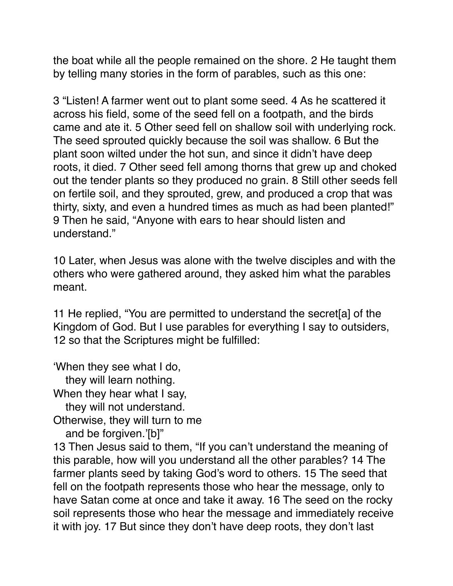the boat while all the people remained on the shore. 2 He taught them by telling many stories in the form of parables, such as this one:

3 "Listen! A farmer went out to plant some seed. 4 As he scattered it across his field, some of the seed fell on a footpath, and the birds came and ate it. 5 Other seed fell on shallow soil with underlying rock. The seed sprouted quickly because the soil was shallow. 6 But the plant soon wilted under the hot sun, and since it didn't have deep roots, it died. 7 Other seed fell among thorns that grew up and choked out the tender plants so they produced no grain. 8 Still other seeds fell on fertile soil, and they sprouted, grew, and produced a crop that was thirty, sixty, and even a hundred times as much as had been planted!" 9 Then he said, "Anyone with ears to hear should listen and understand."

10 Later, when Jesus was alone with the twelve disciples and with the others who were gathered around, they asked him what the parables meant.

11 He replied, "You are permitted to understand the secret[a] of the Kingdom of God. But I use parables for everything I say to outsiders, 12 so that the Scriptures might be fulfilled:

'When they see what I do,

they will learn nothing.

When they hear what I say,

they will not understand.

Otherwise, they will turn to me

and be forgiven.'[b]"

13 Then Jesus said to them, "If you can't understand the meaning of this parable, how will you understand all the other parables? 14 The farmer plants seed by taking God's word to others. 15 The seed that fell on the footpath represents those who hear the message, only to have Satan come at once and take it away. 16 The seed on the rocky soil represents those who hear the message and immediately receive it with joy. 17 But since they don't have deep roots, they don't last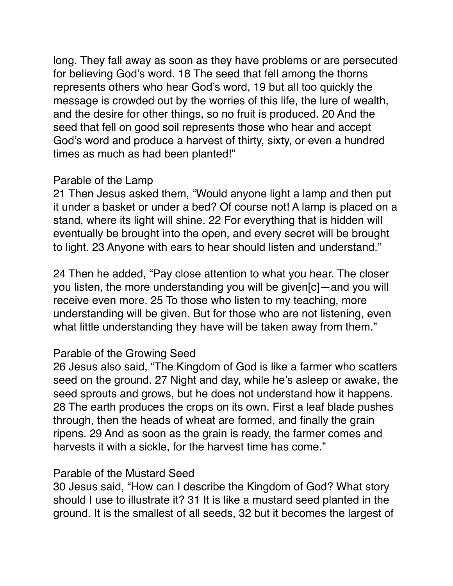long. They fall away as soon as they have problems or are persecuted for believing God's word. 18 The seed that fell among the thorns represents others who hear God's word, 19 but all too quickly the message is crowded out by the worries of this life, the lure of wealth, and the desire for other things, so no fruit is produced. 20 And the seed that fell on good soil represents those who hear and accept God's word and produce a harvest of thirty, sixty, or even a hundred times as much as had been planted!"

#### Parable of the Lamp

21 Then Jesus asked them, "Would anyone light a lamp and then put it under a basket or under a bed? Of course not! A lamp is placed on a stand, where its light will shine. 22 For everything that is hidden will eventually be brought into the open, and every secret will be brought to light. 23 Anyone with ears to hear should listen and understand."

24 Then he added, "Pay close attention to what you hear. The closer you listen, the more understanding you will be given[c]—and you will receive even more. 25 To those who listen to my teaching, more understanding will be given. But for those who are not listening, even what little understanding they have will be taken away from them."

#### Parable of the Growing Seed

26 Jesus also said, "The Kingdom of God is like a farmer who scatters seed on the ground. 27 Night and day, while he's asleep or awake, the seed sprouts and grows, but he does not understand how it happens. 28 The earth produces the crops on its own. First a leaf blade pushes through, then the heads of wheat are formed, and finally the grain ripens. 29 And as soon as the grain is ready, the farmer comes and harvests it with a sickle, for the harvest time has come."

#### Parable of the Mustard Seed

30 Jesus said, "How can I describe the Kingdom of God? What story should I use to illustrate it? 31 It is like a mustard seed planted in the ground. It is the smallest of all seeds, 32 but it becomes the largest of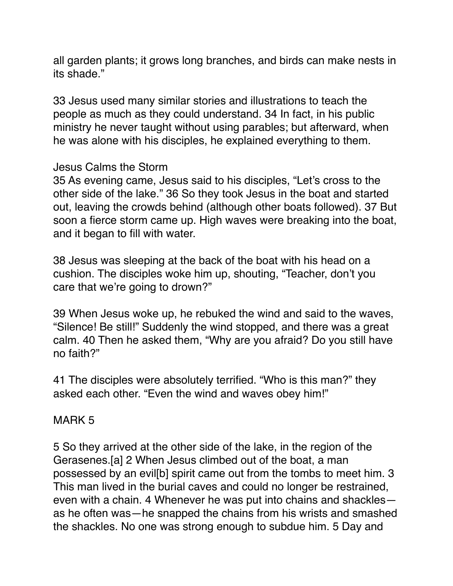all garden plants; it grows long branches, and birds can make nests in its shade."

33 Jesus used many similar stories and illustrations to teach the people as much as they could understand. 34 In fact, in his public ministry he never taught without using parables; but afterward, when he was alone with his disciples, he explained everything to them.

#### Jesus Calms the Storm

35 As evening came, Jesus said to his disciples, "Let's cross to the other side of the lake." 36 So they took Jesus in the boat and started out, leaving the crowds behind (although other boats followed). 37 But soon a fierce storm came up. High waves were breaking into the boat, and it began to fill with water.

38 Jesus was sleeping at the back of the boat with his head on a cushion. The disciples woke him up, shouting, "Teacher, don't you care that we're going to drown?"

39 When Jesus woke up, he rebuked the wind and said to the waves, "Silence! Be still!" Suddenly the wind stopped, and there was a great calm. 40 Then he asked them, "Why are you afraid? Do you still have no faith?"

41 The disciples were absolutely terrified. "Who is this man?" they asked each other. "Even the wind and waves obey him!"

# MARK 5

5 So they arrived at the other side of the lake, in the region of the Gerasenes.[a] 2 When Jesus climbed out of the boat, a man possessed by an evil[b] spirit came out from the tombs to meet him. 3 This man lived in the burial caves and could no longer be restrained, even with a chain. 4 Whenever he was put into chains and shackles as he often was—he snapped the chains from his wrists and smashed the shackles. No one was strong enough to subdue him. 5 Day and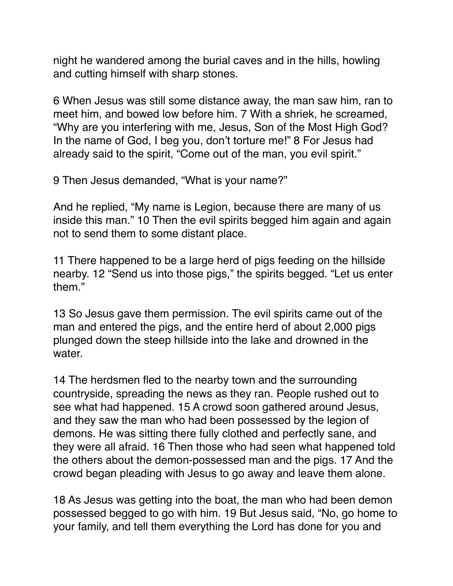night he wandered among the burial caves and in the hills, howling and cutting himself with sharp stones.

6 When Jesus was still some distance away, the man saw him, ran to meet him, and bowed low before him. 7 With a shriek, he screamed, "Why are you interfering with me, Jesus, Son of the Most High God? In the name of God, I beg you, don't torture me!" 8 For Jesus had already said to the spirit, "Come out of the man, you evil spirit."

9 Then Jesus demanded, "What is your name?"

And he replied, "My name is Legion, because there are many of us inside this man." 10 Then the evil spirits begged him again and again not to send them to some distant place.

11 There happened to be a large herd of pigs feeding on the hillside nearby. 12 "Send us into those pigs," the spirits begged. "Let us enter them."

13 So Jesus gave them permission. The evil spirits came out of the man and entered the pigs, and the entire herd of about 2,000 pigs plunged down the steep hillside into the lake and drowned in the water.

14 The herdsmen fled to the nearby town and the surrounding countryside, spreading the news as they ran. People rushed out to see what had happened. 15 A crowd soon gathered around Jesus, and they saw the man who had been possessed by the legion of demons. He was sitting there fully clothed and perfectly sane, and they were all afraid. 16 Then those who had seen what happened told the others about the demon-possessed man and the pigs. 17 And the crowd began pleading with Jesus to go away and leave them alone.

18 As Jesus was getting into the boat, the man who had been demon possessed begged to go with him. 19 But Jesus said, "No, go home to your family, and tell them everything the Lord has done for you and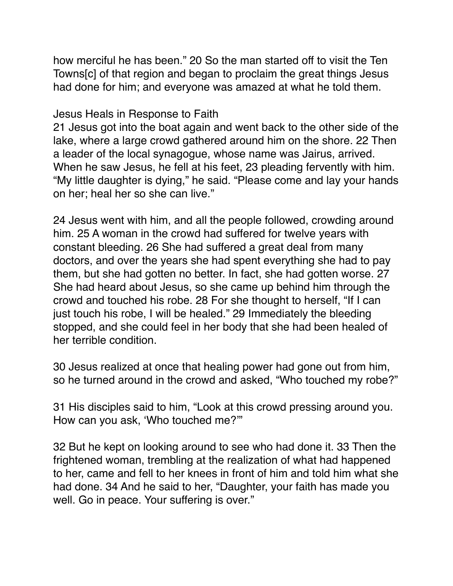how merciful he has been." 20 So the man started off to visit the Ten Towns[c] of that region and began to proclaim the great things Jesus had done for him; and everyone was amazed at what he told them.

Jesus Heals in Response to Faith

21 Jesus got into the boat again and went back to the other side of the lake, where a large crowd gathered around him on the shore. 22 Then a leader of the local synagogue, whose name was Jairus, arrived. When he saw Jesus, he fell at his feet, 23 pleading fervently with him. "My little daughter is dying," he said. "Please come and lay your hands on her; heal her so she can live."

24 Jesus went with him, and all the people followed, crowding around him. 25 A woman in the crowd had suffered for twelve years with constant bleeding. 26 She had suffered a great deal from many doctors, and over the years she had spent everything she had to pay them, but she had gotten no better. In fact, she had gotten worse. 27 She had heard about Jesus, so she came up behind him through the crowd and touched his robe. 28 For she thought to herself, "If I can just touch his robe, I will be healed." 29 Immediately the bleeding stopped, and she could feel in her body that she had been healed of her terrible condition.

30 Jesus realized at once that healing power had gone out from him, so he turned around in the crowd and asked, "Who touched my robe?"

31 His disciples said to him, "Look at this crowd pressing around you. How can you ask, 'Who touched me?'"

32 But he kept on looking around to see who had done it. 33 Then the frightened woman, trembling at the realization of what had happened to her, came and fell to her knees in front of him and told him what she had done. 34 And he said to her, "Daughter, your faith has made you well. Go in peace. Your suffering is over."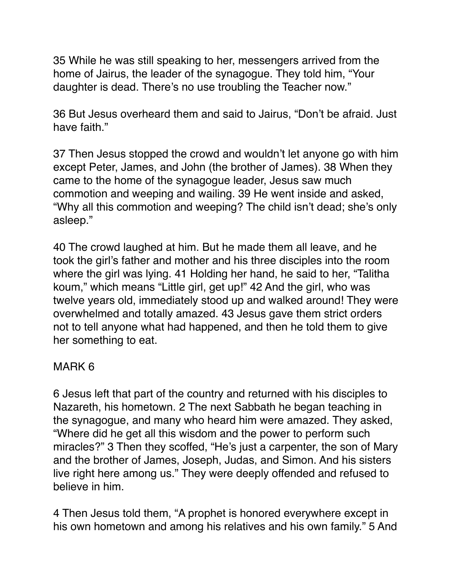35 While he was still speaking to her, messengers arrived from the home of Jairus, the leader of the synagogue. They told him, "Your daughter is dead. There's no use troubling the Teacher now."

36 But Jesus overheard them and said to Jairus, "Don't be afraid. Just have faith"

37 Then Jesus stopped the crowd and wouldn't let anyone go with him except Peter, James, and John (the brother of James). 38 When they came to the home of the synagogue leader, Jesus saw much commotion and weeping and wailing. 39 He went inside and asked, "Why all this commotion and weeping? The child isn't dead; she's only asleep."

40 The crowd laughed at him. But he made them all leave, and he took the girl's father and mother and his three disciples into the room where the girl was lying. 41 Holding her hand, he said to her, "Talitha koum," which means "Little girl, get up!" 42 And the girl, who was twelve years old, immediately stood up and walked around! They were overwhelmed and totally amazed. 43 Jesus gave them strict orders not to tell anyone what had happened, and then he told them to give her something to eat.

# MARK 6

6 Jesus left that part of the country and returned with his disciples to Nazareth, his hometown. 2 The next Sabbath he began teaching in the synagogue, and many who heard him were amazed. They asked, "Where did he get all this wisdom and the power to perform such miracles?" 3 Then they scoffed, "He's just a carpenter, the son of Mary and the brother of James, Joseph, Judas, and Simon. And his sisters live right here among us." They were deeply offended and refused to believe in him.

4 Then Jesus told them, "A prophet is honored everywhere except in his own hometown and among his relatives and his own family." 5 And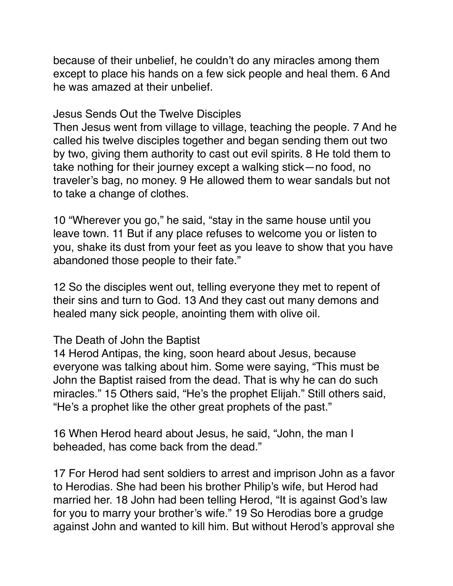because of their unbelief, he couldn't do any miracles among them except to place his hands on a few sick people and heal them. 6 And he was amazed at their unbelief.

#### Jesus Sends Out the Twelve Disciples

Then Jesus went from village to village, teaching the people. 7 And he called his twelve disciples together and began sending them out two by two, giving them authority to cast out evil spirits. 8 He told them to take nothing for their journey except a walking stick—no food, no traveler's bag, no money. 9 He allowed them to wear sandals but not to take a change of clothes.

10 "Wherever you go," he said, "stay in the same house until you leave town. 11 But if any place refuses to welcome you or listen to you, shake its dust from your feet as you leave to show that you have abandoned those people to their fate."

12 So the disciples went out, telling everyone they met to repent of their sins and turn to God. 13 And they cast out many demons and healed many sick people, anointing them with olive oil.

#### The Death of John the Baptist

14 Herod Antipas, the king, soon heard about Jesus, because everyone was talking about him. Some were saying, "This must be John the Baptist raised from the dead. That is why he can do such miracles." 15 Others said, "He's the prophet Elijah." Still others said, "He's a prophet like the other great prophets of the past."

16 When Herod heard about Jesus, he said, "John, the man I beheaded, has come back from the dead."

17 For Herod had sent soldiers to arrest and imprison John as a favor to Herodias. She had been his brother Philip's wife, but Herod had married her. 18 John had been telling Herod, "It is against God's law for you to marry your brother's wife." 19 So Herodias bore a grudge against John and wanted to kill him. But without Herod's approval she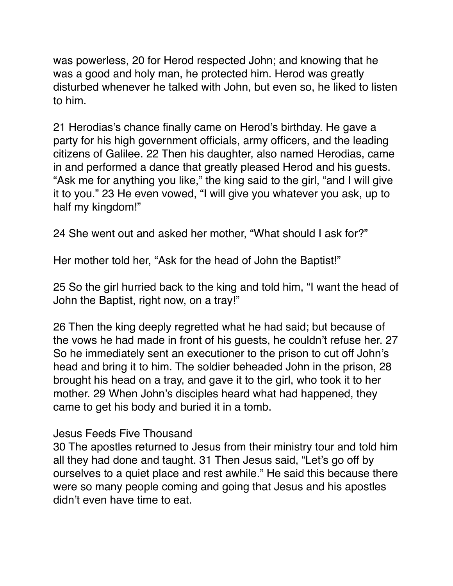was powerless, 20 for Herod respected John; and knowing that he was a good and holy man, he protected him. Herod was greatly disturbed whenever he talked with John, but even so, he liked to listen to him.

21 Herodias's chance finally came on Herod's birthday. He gave a party for his high government officials, army officers, and the leading citizens of Galilee. 22 Then his daughter, also named Herodias, came in and performed a dance that greatly pleased Herod and his guests. "Ask me for anything you like," the king said to the girl, "and I will give it to you." 23 He even vowed, "I will give you whatever you ask, up to half my kingdom!"

24 She went out and asked her mother, "What should I ask for?"

Her mother told her, "Ask for the head of John the Baptist!"

25 So the girl hurried back to the king and told him, "I want the head of John the Baptist, right now, on a tray!"

26 Then the king deeply regretted what he had said; but because of the vows he had made in front of his guests, he couldn't refuse her. 27 So he immediately sent an executioner to the prison to cut off John's head and bring it to him. The soldier beheaded John in the prison, 28 brought his head on a tray, and gave it to the girl, who took it to her mother. 29 When John's disciples heard what had happened, they came to get his body and buried it in a tomb.

# Jesus Feeds Five Thousand

30 The apostles returned to Jesus from their ministry tour and told him all they had done and taught. 31 Then Jesus said, "Let's go off by ourselves to a quiet place and rest awhile." He said this because there were so many people coming and going that Jesus and his apostles didn't even have time to eat.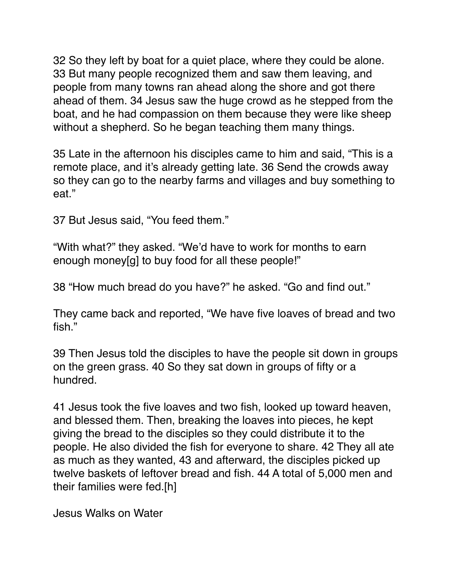32 So they left by boat for a quiet place, where they could be alone. 33 But many people recognized them and saw them leaving, and people from many towns ran ahead along the shore and got there ahead of them. 34 Jesus saw the huge crowd as he stepped from the boat, and he had compassion on them because they were like sheep without a shepherd. So he began teaching them many things.

35 Late in the afternoon his disciples came to him and said, "This is a remote place, and it's already getting late. 36 Send the crowds away so they can go to the nearby farms and villages and buy something to eat."

37 But Jesus said, "You feed them."

"With what?" they asked. "We'd have to work for months to earn enough money[g] to buy food for all these people!"

38 "How much bread do you have?" he asked. "Go and find out."

They came back and reported, "We have five loaves of bread and two fish."

39 Then Jesus told the disciples to have the people sit down in groups on the green grass. 40 So they sat down in groups of fifty or a hundred.

41 Jesus took the five loaves and two fish, looked up toward heaven, and blessed them. Then, breaking the loaves into pieces, he kept giving the bread to the disciples so they could distribute it to the people. He also divided the fish for everyone to share. 42 They all ate as much as they wanted, 43 and afterward, the disciples picked up twelve baskets of leftover bread and fish. 44 A total of 5,000 men and their families were fed.[h]

Jesus Walks on Water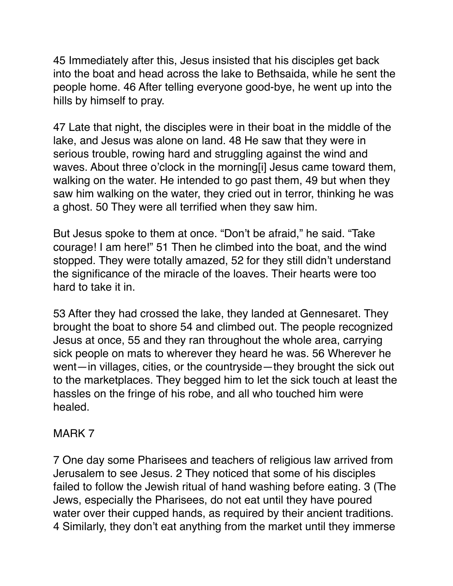45 Immediately after this, Jesus insisted that his disciples get back into the boat and head across the lake to Bethsaida, while he sent the people home. 46 After telling everyone good-bye, he went up into the hills by himself to pray.

47 Late that night, the disciples were in their boat in the middle of the lake, and Jesus was alone on land. 48 He saw that they were in serious trouble, rowing hard and struggling against the wind and waves. About three o'clock in the morning[i] Jesus came toward them, walking on the water. He intended to go past them, 49 but when they saw him walking on the water, they cried out in terror, thinking he was a ghost. 50 They were all terrified when they saw him.

But Jesus spoke to them at once. "Don't be afraid," he said. "Take courage! I am here!" 51 Then he climbed into the boat, and the wind stopped. They were totally amazed, 52 for they still didn't understand the significance of the miracle of the loaves. Their hearts were too hard to take it in.

53 After they had crossed the lake, they landed at Gennesaret. They brought the boat to shore 54 and climbed out. The people recognized Jesus at once, 55 and they ran throughout the whole area, carrying sick people on mats to wherever they heard he was. 56 Wherever he went—in villages, cities, or the countryside—they brought the sick out to the marketplaces. They begged him to let the sick touch at least the hassles on the fringe of his robe, and all who touched him were healed.

#### MARK 7

7 One day some Pharisees and teachers of religious law arrived from Jerusalem to see Jesus. 2 They noticed that some of his disciples failed to follow the Jewish ritual of hand washing before eating. 3 (The Jews, especially the Pharisees, do not eat until they have poured water over their cupped hands, as required by their ancient traditions. 4 Similarly, they don't eat anything from the market until they immerse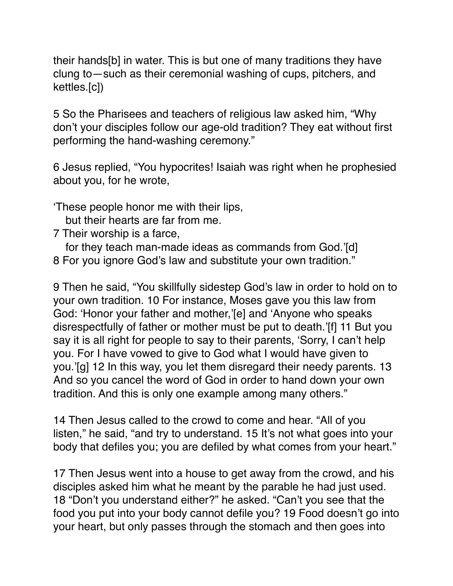their hands[b] in water. This is but one of many traditions they have clung to—such as their ceremonial washing of cups, pitchers, and kettles.[c])

5 So the Pharisees and teachers of religious law asked him, "Why don't your disciples follow our age-old tradition? They eat without first performing the hand-washing ceremony."

6 Jesus replied, "You hypocrites! Isaiah was right when he prophesied about you, for he wrote,

'These people honor me with their lips,

but their hearts are far from me.

7 Their worship is a farce,

 for they teach man-made ideas as commands from God.'[d] 8 For you ignore God's law and substitute your own tradition."

9 Then he said, "You skillfully sidestep God's law in order to hold on to your own tradition. 10 For instance, Moses gave you this law from God: 'Honor your father and mother,'[e] and 'Anyone who speaks disrespectfully of father or mother must be put to death.'[f] 11 But you say it is all right for people to say to their parents, 'Sorry, I can't help you. For I have vowed to give to God what I would have given to you.'[g] 12 In this way, you let them disregard their needy parents. 13 And so you cancel the word of God in order to hand down your own tradition. And this is only one example among many others."

14 Then Jesus called to the crowd to come and hear. "All of you listen," he said, "and try to understand. 15 It's not what goes into your body that defiles you; you are defiled by what comes from your heart."

17 Then Jesus went into a house to get away from the crowd, and his disciples asked him what he meant by the parable he had just used. 18 "Don't you understand either?" he asked. "Can't you see that the food you put into your body cannot defile you? 19 Food doesn't go into your heart, but only passes through the stomach and then goes into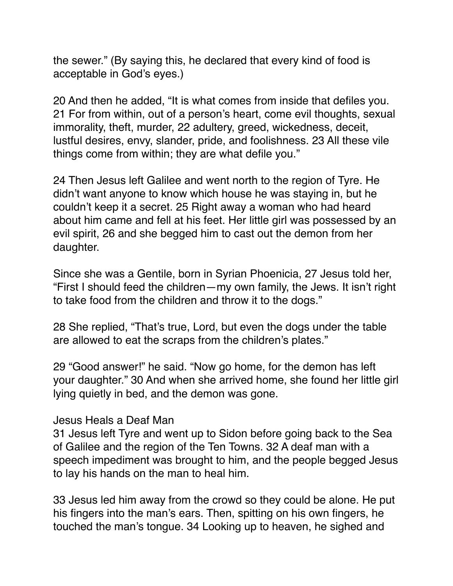the sewer." (By saying this, he declared that every kind of food is acceptable in God's eyes.)

20 And then he added, "It is what comes from inside that defiles you. 21 For from within, out of a person's heart, come evil thoughts, sexual immorality, theft, murder, 22 adultery, greed, wickedness, deceit, lustful desires, envy, slander, pride, and foolishness. 23 All these vile things come from within; they are what defile you."

24 Then Jesus left Galilee and went north to the region of Tyre. He didn't want anyone to know which house he was staying in, but he couldn't keep it a secret. 25 Right away a woman who had heard about him came and fell at his feet. Her little girl was possessed by an evil spirit, 26 and she begged him to cast out the demon from her daughter.

Since she was a Gentile, born in Syrian Phoenicia, 27 Jesus told her, "First I should feed the children—my own family, the Jews. It isn't right to take food from the children and throw it to the dogs."

28 She replied, "That's true, Lord, but even the dogs under the table are allowed to eat the scraps from the children's plates."

29 "Good answer!" he said. "Now go home, for the demon has left your daughter." 30 And when she arrived home, she found her little girl lying quietly in bed, and the demon was gone.

#### Jesus Heals a Deaf Man

31 Jesus left Tyre and went up to Sidon before going back to the Sea of Galilee and the region of the Ten Towns. 32 A deaf man with a speech impediment was brought to him, and the people begged Jesus to lay his hands on the man to heal him.

33 Jesus led him away from the crowd so they could be alone. He put his fingers into the man's ears. Then, spitting on his own fingers, he touched the man's tongue. 34 Looking up to heaven, he sighed and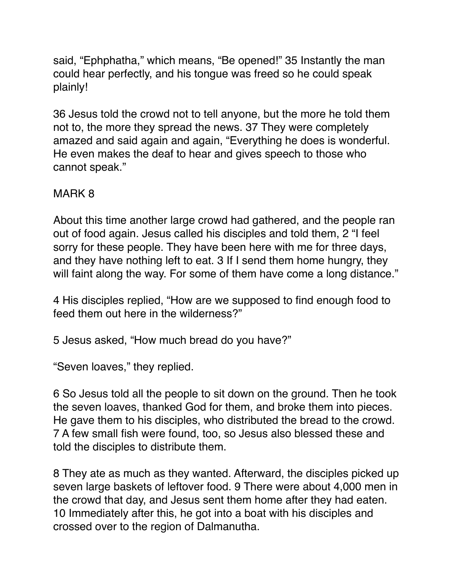said, "Ephphatha," which means, "Be opened!" 35 Instantly the man could hear perfectly, and his tongue was freed so he could speak plainly!

36 Jesus told the crowd not to tell anyone, but the more he told them not to, the more they spread the news. 37 They were completely amazed and said again and again, "Everything he does is wonderful. He even makes the deaf to hear and gives speech to those who cannot speak."

## MARK 8

About this time another large crowd had gathered, and the people ran out of food again. Jesus called his disciples and told them, 2 "I feel sorry for these people. They have been here with me for three days, and they have nothing left to eat. 3 If I send them home hungry, they will faint along the way. For some of them have come a long distance."

4 His disciples replied, "How are we supposed to find enough food to feed them out here in the wilderness?"

5 Jesus asked, "How much bread do you have?"

"Seven loaves," they replied.

6 So Jesus told all the people to sit down on the ground. Then he took the seven loaves, thanked God for them, and broke them into pieces. He gave them to his disciples, who distributed the bread to the crowd. 7 A few small fish were found, too, so Jesus also blessed these and told the disciples to distribute them.

8 They ate as much as they wanted. Afterward, the disciples picked up seven large baskets of leftover food. 9 There were about 4,000 men in the crowd that day, and Jesus sent them home after they had eaten. 10 Immediately after this, he got into a boat with his disciples and crossed over to the region of Dalmanutha.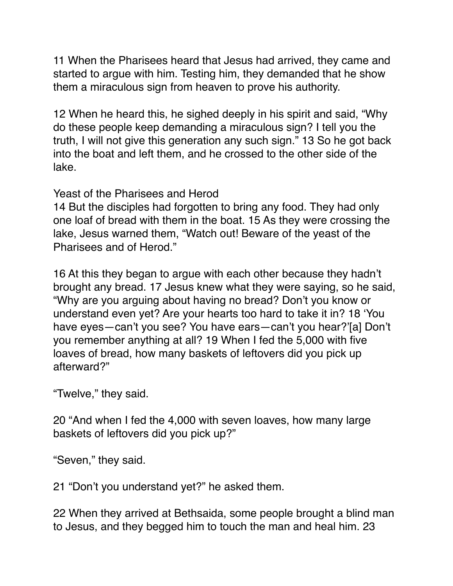11 When the Pharisees heard that Jesus had arrived, they came and started to argue with him. Testing him, they demanded that he show them a miraculous sign from heaven to prove his authority.

12 When he heard this, he sighed deeply in his spirit and said, "Why do these people keep demanding a miraculous sign? I tell you the truth, I will not give this generation any such sign." 13 So he got back into the boat and left them, and he crossed to the other side of the lake.

Yeast of the Pharisees and Herod

14 But the disciples had forgotten to bring any food. They had only one loaf of bread with them in the boat. 15 As they were crossing the lake, Jesus warned them, "Watch out! Beware of the yeast of the Pharisees and of Herod."

16 At this they began to argue with each other because they hadn't brought any bread. 17 Jesus knew what they were saying, so he said, "Why are you arguing about having no bread? Don't you know or understand even yet? Are your hearts too hard to take it in? 18 'You have eyes—can't you see? You have ears—can't you hear?'[a] Don't you remember anything at all? 19 When I fed the 5,000 with five loaves of bread, how many baskets of leftovers did you pick up afterward?"

"Twelve," they said.

20 "And when I fed the 4,000 with seven loaves, how many large baskets of leftovers did you pick up?"

"Seven," they said.

21 "Don't you understand yet?" he asked them.

22 When they arrived at Bethsaida, some people brought a blind man to Jesus, and they begged him to touch the man and heal him. 23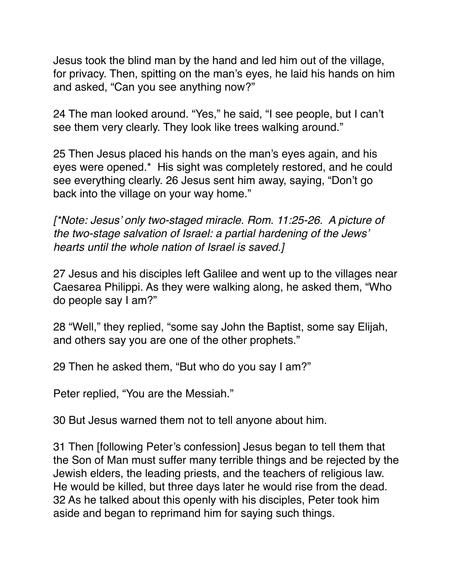Jesus took the blind man by the hand and led him out of the village, for privacy. Then, spitting on the man's eyes, he laid his hands on him and asked, "Can you see anything now?"

24 The man looked around. "Yes," he said, "I see people, but I can't see them very clearly. They look like trees walking around."

25 Then Jesus placed his hands on the man's eyes again, and his eyes were opened.\* His sight was completely restored, and he could see everything clearly. 26 Jesus sent him away, saying, "Don't go back into the village on your way home."

*[\*Note: Jesus' only two-staged miracle. Rom. 11:25-26. A picture of the two-stage salvation of Israel: a partial hardening of the Jews' hearts until the whole nation of Israel is saved.]*

27 Jesus and his disciples left Galilee and went up to the villages near Caesarea Philippi. As they were walking along, he asked them, "Who do people say I am?"

28 "Well," they replied, "some say John the Baptist, some say Elijah, and others say you are one of the other prophets."

29 Then he asked them, "But who do you say I am?"

Peter replied, "You are the Messiah."

30 But Jesus warned them not to tell anyone about him.

31 Then [following Peter's confession] Jesus began to tell them that the Son of Man must suffer many terrible things and be rejected by the Jewish elders, the leading priests, and the teachers of religious law. He would be killed, but three days later he would rise from the dead. 32 As he talked about this openly with his disciples, Peter took him aside and began to reprimand him for saying such things.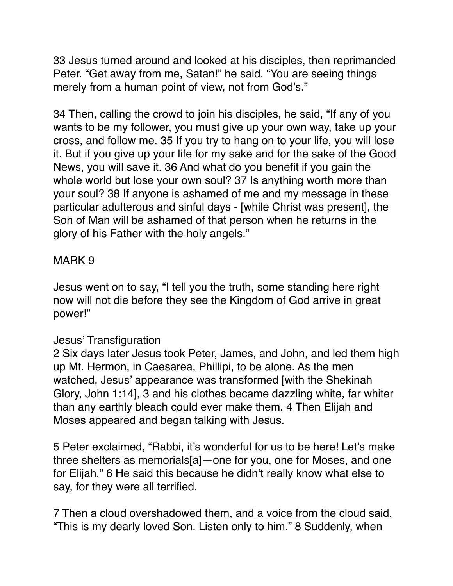33 Jesus turned around and looked at his disciples, then reprimanded Peter. "Get away from me, Satan!" he said. "You are seeing things merely from a human point of view, not from God's."

34 Then, calling the crowd to join his disciples, he said, "If any of you wants to be my follower, you must give up your own way, take up your cross, and follow me. 35 If you try to hang on to your life, you will lose it. But if you give up your life for my sake and for the sake of the Good News, you will save it. 36 And what do you benefit if you gain the whole world but lose your own soul? 37 Is anything worth more than your soul? 38 If anyone is ashamed of me and my message in these particular adulterous and sinful days - [while Christ was present], the Son of Man will be ashamed of that person when he returns in the glory of his Father with the holy angels."

## MARK 9

Jesus went on to say, "I tell you the truth, some standing here right now will not die before they see the Kingdom of God arrive in great power!"

#### Jesus' Transfiguration

2 Six days later Jesus took Peter, James, and John, and led them high up Mt. Hermon, in Caesarea, Phillipi, to be alone. As the men watched, Jesus' appearance was transformed [with the Shekinah Glory, John 1:14], 3 and his clothes became dazzling white, far whiter than any earthly bleach could ever make them. 4 Then Elijah and Moses appeared and began talking with Jesus.

5 Peter exclaimed, "Rabbi, it's wonderful for us to be here! Let's make three shelters as memorials[a]—one for you, one for Moses, and one for Elijah." 6 He said this because he didn't really know what else to say, for they were all terrified.

7 Then a cloud overshadowed them, and a voice from the cloud said, "This is my dearly loved Son. Listen only to him." 8 Suddenly, when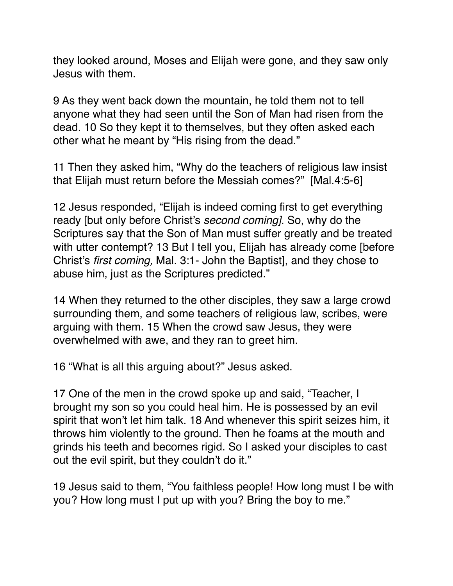they looked around, Moses and Elijah were gone, and they saw only Jesus with them.

9 As they went back down the mountain, he told them not to tell anyone what they had seen until the Son of Man had risen from the dead. 10 So they kept it to themselves, but they often asked each other what he meant by "His rising from the dead."

11 Then they asked him, "Why do the teachers of religious law insist that Elijah must return before the Messiah comes?" [Mal.4:5-6]

12 Jesus responded, "Elijah is indeed coming first to get everything ready [but only before Christ's *second coming]*. So, why do the Scriptures say that the Son of Man must suffer greatly and be treated with utter contempt? 13 But I tell you, Elijah has already come [before] Christ's *first coming,* Mal. 3:1- John the Baptist], and they chose to abuse him, just as the Scriptures predicted."

14 When they returned to the other disciples, they saw a large crowd surrounding them, and some teachers of religious law, scribes, were arguing with them. 15 When the crowd saw Jesus, they were overwhelmed with awe, and they ran to greet him.

16 "What is all this arguing about?" Jesus asked.

17 One of the men in the crowd spoke up and said, "Teacher, I brought my son so you could heal him. He is possessed by an evil spirit that won't let him talk. 18 And whenever this spirit seizes him, it throws him violently to the ground. Then he foams at the mouth and grinds his teeth and becomes rigid. So I asked your disciples to cast out the evil spirit, but they couldn't do it."

19 Jesus said to them, "You faithless people! How long must I be with you? How long must I put up with you? Bring the boy to me."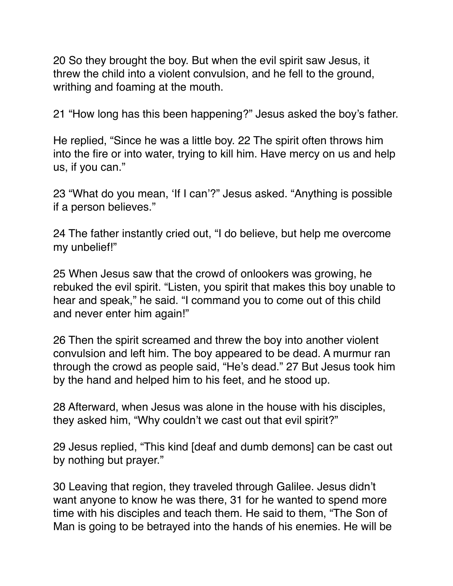20 So they brought the boy. But when the evil spirit saw Jesus, it threw the child into a violent convulsion, and he fell to the ground, writhing and foaming at the mouth.

21 "How long has this been happening?" Jesus asked the boy's father.

He replied, "Since he was a little boy. 22 The spirit often throws him into the fire or into water, trying to kill him. Have mercy on us and help us, if you can."

23 "What do you mean, 'If I can'?" Jesus asked. "Anything is possible if a person believes."

24 The father instantly cried out, "I do believe, but help me overcome my unbelief!"

25 When Jesus saw that the crowd of onlookers was growing, he rebuked the evil spirit. "Listen, you spirit that makes this boy unable to hear and speak," he said. "I command you to come out of this child and never enter him again!"

26 Then the spirit screamed and threw the boy into another violent convulsion and left him. The boy appeared to be dead. A murmur ran through the crowd as people said, "He's dead." 27 But Jesus took him by the hand and helped him to his feet, and he stood up.

28 Afterward, when Jesus was alone in the house with his disciples, they asked him, "Why couldn't we cast out that evil spirit?"

29 Jesus replied, "This kind [deaf and dumb demons] can be cast out by nothing but prayer."

30 Leaving that region, they traveled through Galilee. Jesus didn't want anyone to know he was there, 31 for he wanted to spend more time with his disciples and teach them. He said to them, "The Son of Man is going to be betrayed into the hands of his enemies. He will be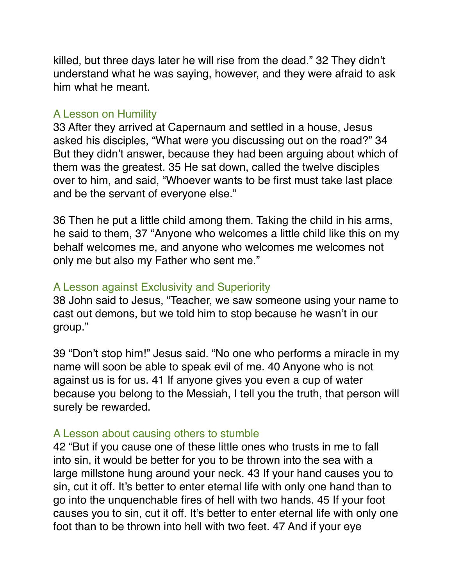killed, but three days later he will rise from the dead." 32 They didn't understand what he was saying, however, and they were afraid to ask him what he meant.

#### A Lesson on Humility

33 After they arrived at Capernaum and settled in a house, Jesus asked his disciples, "What were you discussing out on the road?" 34 But they didn't answer, because they had been arguing about which of them was the greatest. 35 He sat down, called the twelve disciples over to him, and said, "Whoever wants to be first must take last place and be the servant of everyone else."

36 Then he put a little child among them. Taking the child in his arms, he said to them, 37 "Anyone who welcomes a little child like this on my behalf welcomes me, and anyone who welcomes me welcomes not only me but also my Father who sent me."

# A Lesson against Exclusivity and Superiority

38 John said to Jesus, "Teacher, we saw someone using your name to cast out demons, but we told him to stop because he wasn't in our group."

39 "Don't stop him!" Jesus said. "No one who performs a miracle in my name will soon be able to speak evil of me. 40 Anyone who is not against us is for us. 41 If anyone gives you even a cup of water because you belong to the Messiah, I tell you the truth, that person will surely be rewarded.

#### A Lesson about causing others to stumble

42 "But if you cause one of these little ones who trusts in me to fall into sin, it would be better for you to be thrown into the sea with a large millstone hung around your neck. 43 If your hand causes you to sin, cut it off. It's better to enter eternal life with only one hand than to go into the unquenchable fires of hell with two hands. 45 If your foot causes you to sin, cut it off. It's better to enter eternal life with only one foot than to be thrown into hell with two feet. 47 And if your eye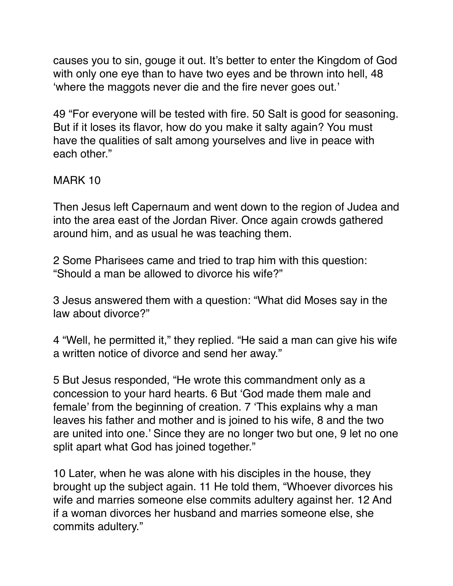causes you to sin, gouge it out. It's better to enter the Kingdom of God with only one eye than to have two eyes and be thrown into hell, 48 'where the maggots never die and the fire never goes out.'

49 "For everyone will be tested with fire. 50 Salt is good for seasoning. But if it loses its flavor, how do you make it salty again? You must have the qualities of salt among yourselves and live in peace with each other."

## MARK 10

Then Jesus left Capernaum and went down to the region of Judea and into the area east of the Jordan River. Once again crowds gathered around him, and as usual he was teaching them.

2 Some Pharisees came and tried to trap him with this question: "Should a man be allowed to divorce his wife?"

3 Jesus answered them with a question: "What did Moses say in the law about divorce?"

4 "Well, he permitted it," they replied. "He said a man can give his wife a written notice of divorce and send her away."

5 But Jesus responded, "He wrote this commandment only as a concession to your hard hearts. 6 But 'God made them male and female' from the beginning of creation. 7 'This explains why a man leaves his father and mother and is joined to his wife, 8 and the two are united into one.' Since they are no longer two but one, 9 let no one split apart what God has joined together."

10 Later, when he was alone with his disciples in the house, they brought up the subject again. 11 He told them, "Whoever divorces his wife and marries someone else commits adultery against her. 12 And if a woman divorces her husband and marries someone else, she commits adultery."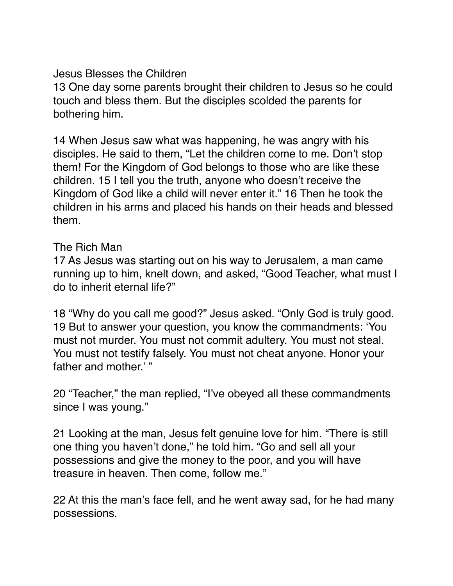Jesus Blesses the Children

13 One day some parents brought their children to Jesus so he could touch and bless them. But the disciples scolded the parents for bothering him.

14 When Jesus saw what was happening, he was angry with his disciples. He said to them, "Let the children come to me. Don't stop them! For the Kingdom of God belongs to those who are like these children. 15 I tell you the truth, anyone who doesn't receive the Kingdom of God like a child will never enter it." 16 Then he took the children in his arms and placed his hands on their heads and blessed them.

The Rich Man

17 As Jesus was starting out on his way to Jerusalem, a man came running up to him, knelt down, and asked, "Good Teacher, what must I do to inherit eternal life?"

18 "Why do you call me good?" Jesus asked. "Only God is truly good. 19 But to answer your question, you know the commandments: 'You must not murder. You must not commit adultery. You must not steal. You must not testify falsely. You must not cheat anyone. Honor your father and mother.' "

20 "Teacher," the man replied, "I've obeyed all these commandments since I was young."

21 Looking at the man, Jesus felt genuine love for him. "There is still one thing you haven't done," he told him. "Go and sell all your possessions and give the money to the poor, and you will have treasure in heaven. Then come, follow me."

22 At this the man's face fell, and he went away sad, for he had many possessions.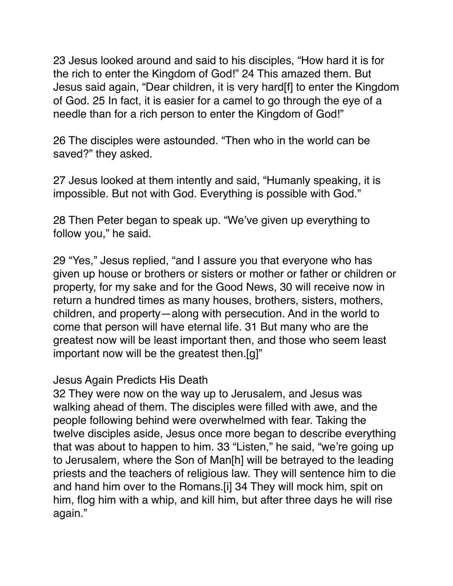23 Jesus looked around and said to his disciples, "How hard it is for the rich to enter the Kingdom of God!" 24 This amazed them. But Jesus said again, "Dear children, it is very hard[f] to enter the Kingdom of God. 25 In fact, it is easier for a camel to go through the eye of a needle than for a rich person to enter the Kingdom of God!"

26 The disciples were astounded. "Then who in the world can be saved?" they asked.

27 Jesus looked at them intently and said, "Humanly speaking, it is impossible. But not with God. Everything is possible with God."

28 Then Peter began to speak up. "We've given up everything to follow you," he said.

29 "Yes," Jesus replied, "and I assure you that everyone who has given up house or brothers or sisters or mother or father or children or property, for my sake and for the Good News, 30 will receive now in return a hundred times as many houses, brothers, sisters, mothers, children, and property—along with persecution. And in the world to come that person will have eternal life. 31 But many who are the greatest now will be least important then, and those who seem least important now will be the greatest then.[g]"

#### Jesus Again Predicts His Death

32 They were now on the way up to Jerusalem, and Jesus was walking ahead of them. The disciples were filled with awe, and the people following behind were overwhelmed with fear. Taking the twelve disciples aside, Jesus once more began to describe everything that was about to happen to him. 33 "Listen," he said, "we're going up to Jerusalem, where the Son of Man[h] will be betrayed to the leading priests and the teachers of religious law. They will sentence him to die and hand him over to the Romans.[i] 34 They will mock him, spit on him, flog him with a whip, and kill him, but after three days he will rise again."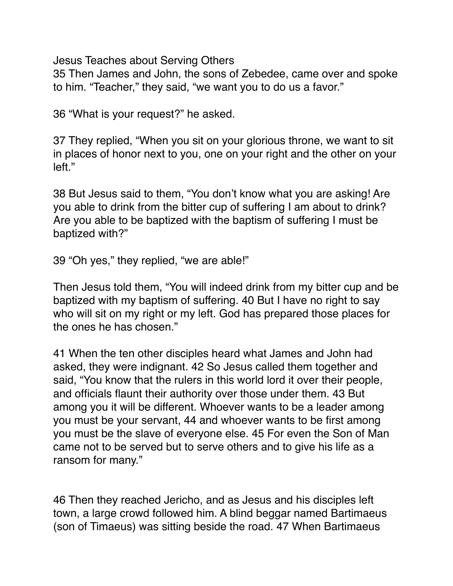Jesus Teaches about Serving Others

35 Then James and John, the sons of Zebedee, came over and spoke to him. "Teacher," they said, "we want you to do us a favor."

36 "What is your request?" he asked.

37 They replied, "When you sit on your glorious throne, we want to sit in places of honor next to you, one on your right and the other on your left."

38 But Jesus said to them, "You don't know what you are asking! Are you able to drink from the bitter cup of suffering I am about to drink? Are you able to be baptized with the baptism of suffering I must be baptized with?"

39 "Oh yes," they replied, "we are able!"

Then Jesus told them, "You will indeed drink from my bitter cup and be baptized with my baptism of suffering. 40 But I have no right to say who will sit on my right or my left. God has prepared those places for the ones he has chosen."

41 When the ten other disciples heard what James and John had asked, they were indignant. 42 So Jesus called them together and said, "You know that the rulers in this world lord it over their people, and officials flaunt their authority over those under them. 43 But among you it will be different. Whoever wants to be a leader among you must be your servant, 44 and whoever wants to be first among you must be the slave of everyone else. 45 For even the Son of Man came not to be served but to serve others and to give his life as a ransom for many."

46 Then they reached Jericho, and as Jesus and his disciples left town, a large crowd followed him. A blind beggar named Bartimaeus (son of Timaeus) was sitting beside the road. 47 When Bartimaeus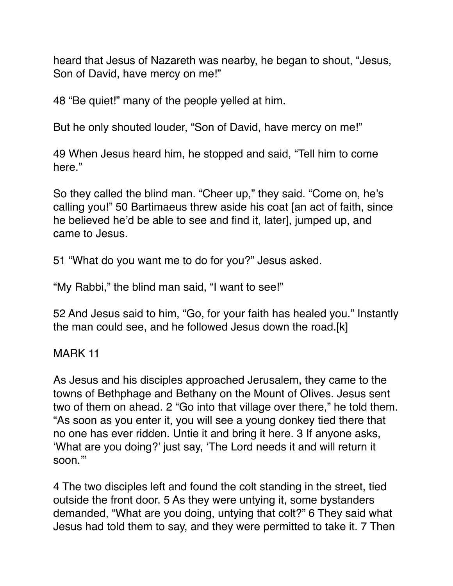heard that Jesus of Nazareth was nearby, he began to shout, "Jesus, Son of David, have mercy on me!"

48 "Be quiet!" many of the people yelled at him.

But he only shouted louder, "Son of David, have mercy on me!"

49 When Jesus heard him, he stopped and said, "Tell him to come here."

So they called the blind man. "Cheer up," they said. "Come on, he's calling you!" 50 Bartimaeus threw aside his coat [an act of faith, since he believed he'd be able to see and find it, later], jumped up, and came to Jesus.

51 "What do you want me to do for you?" Jesus asked.

"My Rabbi," the blind man said, "I want to see!"

52 And Jesus said to him, "Go, for your faith has healed you." Instantly the man could see, and he followed Jesus down the road.[k]

MARK 11

As Jesus and his disciples approached Jerusalem, they came to the towns of Bethphage and Bethany on the Mount of Olives. Jesus sent two of them on ahead. 2 "Go into that village over there," he told them. "As soon as you enter it, you will see a young donkey tied there that no one has ever ridden. Untie it and bring it here. 3 If anyone asks, 'What are you doing?' just say, 'The Lord needs it and will return it soon.'"

4 The two disciples left and found the colt standing in the street, tied outside the front door. 5 As they were untying it, some bystanders demanded, "What are you doing, untying that colt?" 6 They said what Jesus had told them to say, and they were permitted to take it. 7 Then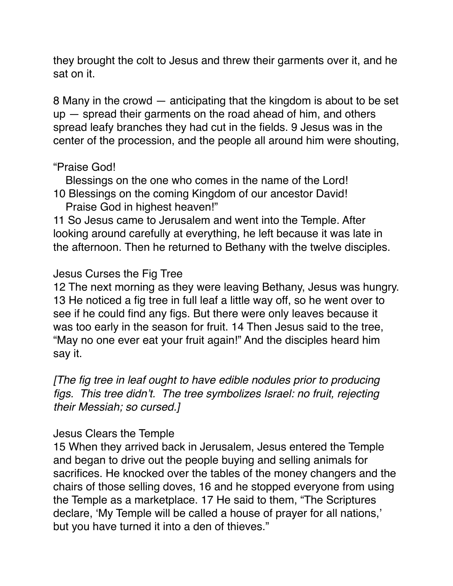they brought the colt to Jesus and threw their garments over it, and he sat on it.

8 Many in the crowd — anticipating that the kingdom is about to be set up — spread their garments on the road ahead of him, and others spread leafy branches they had cut in the fields. 9 Jesus was in the center of the procession, and the people all around him were shouting,

## "Praise God!

 Blessings on the one who comes in the name of the Lord! 10 Blessings on the coming Kingdom of our ancestor David!

Praise God in highest heaven!"

11 So Jesus came to Jerusalem and went into the Temple. After looking around carefully at everything, he left because it was late in the afternoon. Then he returned to Bethany with the twelve disciples.

## Jesus Curses the Fig Tree

12 The next morning as they were leaving Bethany, Jesus was hungry. 13 He noticed a fig tree in full leaf a little way off, so he went over to see if he could find any figs. But there were only leaves because it was too early in the season for fruit. 14 Then Jesus said to the tree, "May no one ever eat your fruit again!" And the disciples heard him say it.

*[The fig tree in leaf ought to have edible nodules prior to producing figs. This tree didn't. The tree symbolizes Israel: no fruit, rejecting their Messiah; so cursed.]*

#### Jesus Clears the Temple

15 When they arrived back in Jerusalem, Jesus entered the Temple and began to drive out the people buying and selling animals for sacrifices. He knocked over the tables of the money changers and the chairs of those selling doves, 16 and he stopped everyone from using the Temple as a marketplace. 17 He said to them, "The Scriptures declare, 'My Temple will be called a house of prayer for all nations,' but you have turned it into a den of thieves."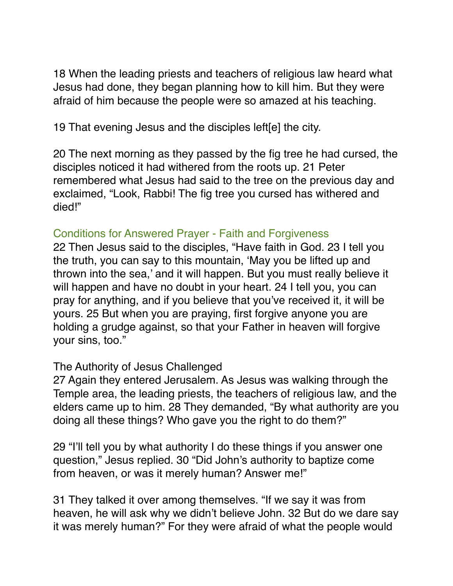18 When the leading priests and teachers of religious law heard what Jesus had done, they began planning how to kill him. But they were afraid of him because the people were so amazed at his teaching.

19 That evening Jesus and the disciples left[e] the city.

20 The next morning as they passed by the fig tree he had cursed, the disciples noticed it had withered from the roots up. 21 Peter remembered what Jesus had said to the tree on the previous day and exclaimed, "Look, Rabbi! The fig tree you cursed has withered and died!"

#### Conditions for Answered Prayer - Faith and Forgiveness

22 Then Jesus said to the disciples, "Have faith in God. 23 I tell you the truth, you can say to this mountain, 'May you be lifted up and thrown into the sea,' and it will happen. But you must really believe it will happen and have no doubt in your heart. 24 I tell you, you can pray for anything, and if you believe that you've received it, it will be yours. 25 But when you are praying, first forgive anyone you are holding a grudge against, so that your Father in heaven will forgive your sins, too."

#### The Authority of Jesus Challenged

27 Again they entered Jerusalem. As Jesus was walking through the Temple area, the leading priests, the teachers of religious law, and the elders came up to him. 28 They demanded, "By what authority are you doing all these things? Who gave you the right to do them?"

29 "I'll tell you by what authority I do these things if you answer one question," Jesus replied. 30 "Did John's authority to baptize come from heaven, or was it merely human? Answer me!"

31 They talked it over among themselves. "If we say it was from heaven, he will ask why we didn't believe John. 32 But do we dare say it was merely human?" For they were afraid of what the people would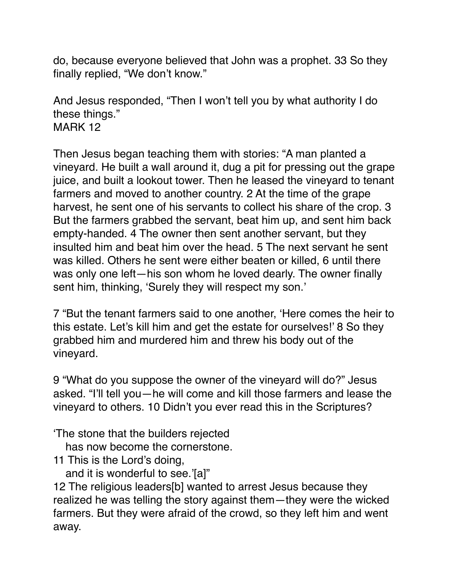do, because everyone believed that John was a prophet. 33 So they finally replied, "We don't know."

And Jesus responded, "Then I won't tell you by what authority I do these things." MARK 12

Then Jesus began teaching them with stories: "A man planted a vineyard. He built a wall around it, dug a pit for pressing out the grape juice, and built a lookout tower. Then he leased the vineyard to tenant farmers and moved to another country. 2 At the time of the grape harvest, he sent one of his servants to collect his share of the crop. 3 But the farmers grabbed the servant, beat him up, and sent him back empty-handed. 4 The owner then sent another servant, but they insulted him and beat him over the head. 5 The next servant he sent was killed. Others he sent were either beaten or killed, 6 until there was only one left—his son whom he loved dearly. The owner finally sent him, thinking, 'Surely they will respect my son.'

7 "But the tenant farmers said to one another, 'Here comes the heir to this estate. Let's kill him and get the estate for ourselves!' 8 So they grabbed him and murdered him and threw his body out of the vineyard.

9 "What do you suppose the owner of the vineyard will do?" Jesus asked. "I'll tell you—he will come and kill those farmers and lease the vineyard to others. 10 Didn't you ever read this in the Scriptures?

'The stone that the builders rejected

has now become the cornerstone.

11 This is the Lord's doing,

and it is wonderful to see.'[a]"

12 The religious leaders[b] wanted to arrest Jesus because they realized he was telling the story against them—they were the wicked farmers. But they were afraid of the crowd, so they left him and went away.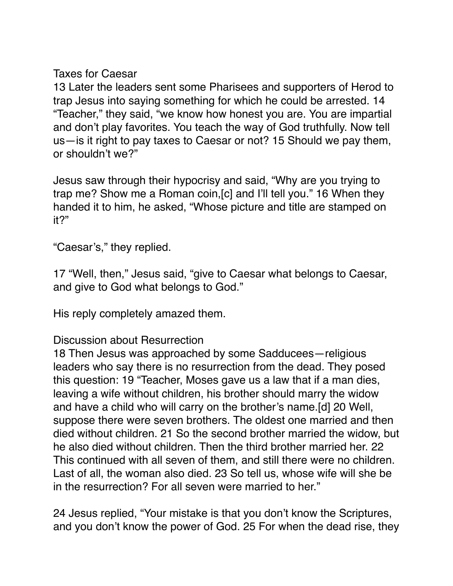## Taxes for Caesar

13 Later the leaders sent some Pharisees and supporters of Herod to trap Jesus into saying something for which he could be arrested. 14 "Teacher," they said, "we know how honest you are. You are impartial and don't play favorites. You teach the way of God truthfully. Now tell us—is it right to pay taxes to Caesar or not? 15 Should we pay them, or shouldn't we?"

Jesus saw through their hypocrisy and said, "Why are you trying to trap me? Show me a Roman coin,[c] and I'll tell you." 16 When they handed it to him, he asked, "Whose picture and title are stamped on it?"

"Caesar's," they replied.

17 "Well, then," Jesus said, "give to Caesar what belongs to Caesar, and give to God what belongs to God."

His reply completely amazed them.

# Discussion about Resurrection

18 Then Jesus was approached by some Sadducees—religious leaders who say there is no resurrection from the dead. They posed this question: 19 "Teacher, Moses gave us a law that if a man dies, leaving a wife without children, his brother should marry the widow and have a child who will carry on the brother's name.[d] 20 Well, suppose there were seven brothers. The oldest one married and then died without children. 21 So the second brother married the widow, but he also died without children. Then the third brother married her. 22 This continued with all seven of them, and still there were no children. Last of all, the woman also died. 23 So tell us, whose wife will she be in the resurrection? For all seven were married to her."

24 Jesus replied, "Your mistake is that you don't know the Scriptures, and you don't know the power of God. 25 For when the dead rise, they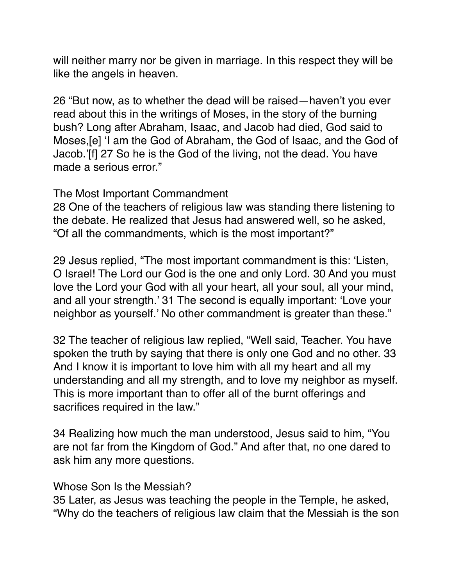will neither marry nor be given in marriage. In this respect they will be like the angels in heaven.

26 "But now, as to whether the dead will be raised—haven't you ever read about this in the writings of Moses, in the story of the burning bush? Long after Abraham, Isaac, and Jacob had died, God said to Moses,[e] 'I am the God of Abraham, the God of Isaac, and the God of Jacob.'[f] 27 So he is the God of the living, not the dead. You have made a serious error."

#### The Most Important Commandment

28 One of the teachers of religious law was standing there listening to the debate. He realized that Jesus had answered well, so he asked, "Of all the commandments, which is the most important?"

29 Jesus replied, "The most important commandment is this: 'Listen, O Israel! The Lord our God is the one and only Lord. 30 And you must love the Lord your God with all your heart, all your soul, all your mind, and all your strength.' 31 The second is equally important: 'Love your neighbor as yourself.' No other commandment is greater than these."

32 The teacher of religious law replied, "Well said, Teacher. You have spoken the truth by saying that there is only one God and no other. 33 And I know it is important to love him with all my heart and all my understanding and all my strength, and to love my neighbor as myself. This is more important than to offer all of the burnt offerings and sacrifices required in the law."

34 Realizing how much the man understood, Jesus said to him, "You are not far from the Kingdom of God." And after that, no one dared to ask him any more questions.

#### Whose Son Is the Messiah?

35 Later, as Jesus was teaching the people in the Temple, he asked, "Why do the teachers of religious law claim that the Messiah is the son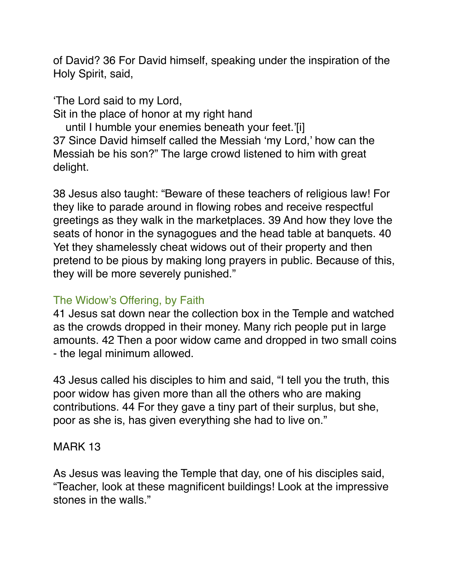of David? 36 For David himself, speaking under the inspiration of the Holy Spirit, said,

'The Lord said to my Lord,

Sit in the place of honor at my right hand

 until I humble your enemies beneath your feet.'[i] 37 Since David himself called the Messiah 'my Lord,' how can the Messiah be his son?" The large crowd listened to him with great delight.

38 Jesus also taught: "Beware of these teachers of religious law! For they like to parade around in flowing robes and receive respectful greetings as they walk in the marketplaces. 39 And how they love the seats of honor in the synagogues and the head table at banquets. 40 Yet they shamelessly cheat widows out of their property and then pretend to be pious by making long prayers in public. Because of this, they will be more severely punished."

# The Widow's Offering, by Faith

41 Jesus sat down near the collection box in the Temple and watched as the crowds dropped in their money. Many rich people put in large amounts. 42 Then a poor widow came and dropped in two small coins - the legal minimum allowed.

43 Jesus called his disciples to him and said, "I tell you the truth, this poor widow has given more than all the others who are making contributions. 44 For they gave a tiny part of their surplus, but she, poor as she is, has given everything she had to live on."

# MARK 13

As Jesus was leaving the Temple that day, one of his disciples said, "Teacher, look at these magnificent buildings! Look at the impressive stones in the walls."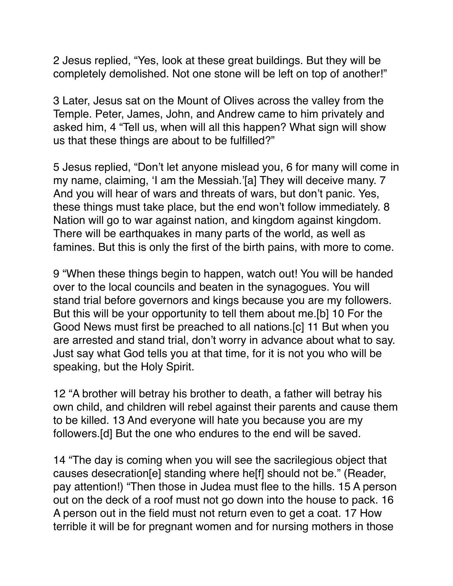2 Jesus replied, "Yes, look at these great buildings. But they will be completely demolished. Not one stone will be left on top of another!"

3 Later, Jesus sat on the Mount of Olives across the valley from the Temple. Peter, James, John, and Andrew came to him privately and asked him, 4 "Tell us, when will all this happen? What sign will show us that these things are about to be fulfilled?"

5 Jesus replied, "Don't let anyone mislead you, 6 for many will come in my name, claiming, 'I am the Messiah.'[a] They will deceive many. 7 And you will hear of wars and threats of wars, but don't panic. Yes, these things must take place, but the end won't follow immediately. 8 Nation will go to war against nation, and kingdom against kingdom. There will be earthquakes in many parts of the world, as well as famines. But this is only the first of the birth pains, with more to come.

9 "When these things begin to happen, watch out! You will be handed over to the local councils and beaten in the synagogues. You will stand trial before governors and kings because you are my followers. But this will be your opportunity to tell them about me.[b] 10 For the Good News must first be preached to all nations.[c] 11 But when you are arrested and stand trial, don't worry in advance about what to say. Just say what God tells you at that time, for it is not you who will be speaking, but the Holy Spirit.

12 "A brother will betray his brother to death, a father will betray his own child, and children will rebel against their parents and cause them to be killed. 13 And everyone will hate you because you are my followers.[d] But the one who endures to the end will be saved.

14 "The day is coming when you will see the sacrilegious object that causes desecration[e] standing where he[f] should not be." (Reader, pay attention!) "Then those in Judea must flee to the hills. 15 A person out on the deck of a roof must not go down into the house to pack. 16 A person out in the field must not return even to get a coat. 17 How terrible it will be for pregnant women and for nursing mothers in those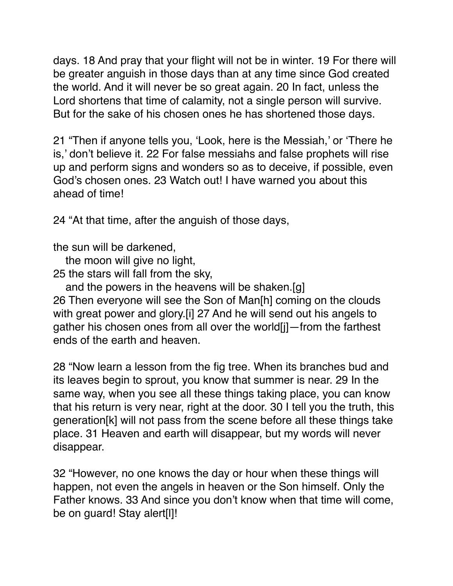days. 18 And pray that your flight will not be in winter. 19 For there will be greater anguish in those days than at any time since God created the world. And it will never be so great again. 20 In fact, unless the Lord shortens that time of calamity, not a single person will survive. But for the sake of his chosen ones he has shortened those days.

21 "Then if anyone tells you, 'Look, here is the Messiah,' or 'There he is,' don't believe it. 22 For false messiahs and false prophets will rise up and perform signs and wonders so as to deceive, if possible, even God's chosen ones. 23 Watch out! I have warned you about this ahead of time!

24 "At that time, after the anguish of those days,

the sun will be darkened,

 the moon will give no light, 25 the stars will fall from the sky,

 and the powers in the heavens will be shaken.[g] 26 Then everyone will see the Son of Man[h] coming on the clouds

with great power and glory.[i] 27 And he will send out his angels to gather his chosen ones from all over the world[j]—from the farthest ends of the earth and heaven.

28 "Now learn a lesson from the fig tree. When its branches bud and its leaves begin to sprout, you know that summer is near. 29 In the same way, when you see all these things taking place, you can know that his return is very near, right at the door. 30 I tell you the truth, this generation[k] will not pass from the scene before all these things take place. 31 Heaven and earth will disappear, but my words will never disappear.

32 "However, no one knows the day or hour when these things will happen, not even the angels in heaven or the Son himself. Only the Father knows. 33 And since you don't know when that time will come, be on guard! Stay alert[l]!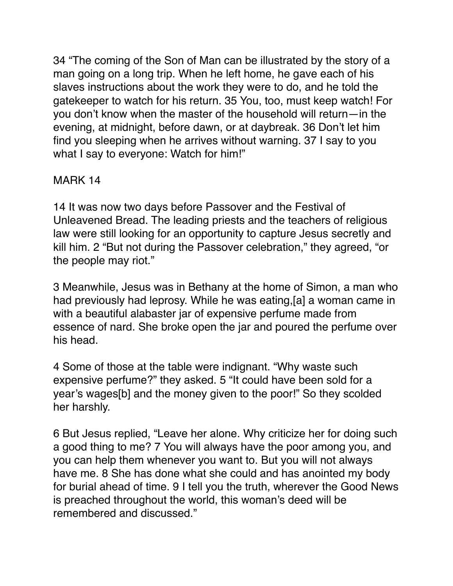34 "The coming of the Son of Man can be illustrated by the story of a man going on a long trip. When he left home, he gave each of his slaves instructions about the work they were to do, and he told the gatekeeper to watch for his return. 35 You, too, must keep watch! For you don't know when the master of the household will return—in the evening, at midnight, before dawn, or at daybreak. 36 Don't let him find you sleeping when he arrives without warning. 37 I say to you what I say to everyone: Watch for him!"

# MARK 14

14 It was now two days before Passover and the Festival of Unleavened Bread. The leading priests and the teachers of religious law were still looking for an opportunity to capture Jesus secretly and kill him. 2 "But not during the Passover celebration," they agreed, "or the people may riot."

3 Meanwhile, Jesus was in Bethany at the home of Simon, a man who had previously had leprosy. While he was eating,[a] a woman came in with a beautiful alabaster jar of expensive perfume made from essence of nard. She broke open the jar and poured the perfume over his head.

4 Some of those at the table were indignant. "Why waste such expensive perfume?" they asked. 5 "It could have been sold for a year's wages[b] and the money given to the poor!" So they scolded her harshly.

6 But Jesus replied, "Leave her alone. Why criticize her for doing such a good thing to me? 7 You will always have the poor among you, and you can help them whenever you want to. But you will not always have me. 8 She has done what she could and has anointed my body for burial ahead of time. 9 I tell you the truth, wherever the Good News is preached throughout the world, this woman's deed will be remembered and discussed."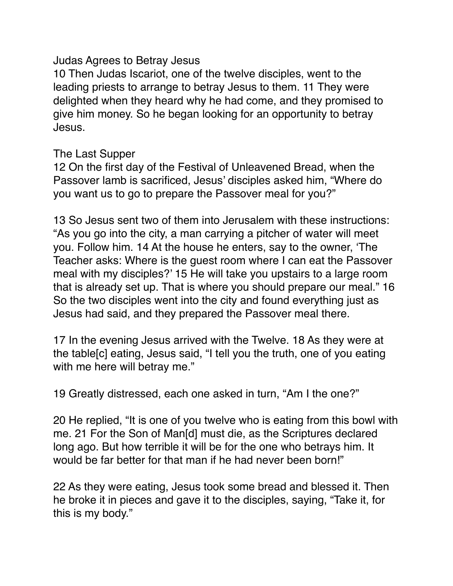#### Judas Agrees to Betray Jesus

10 Then Judas Iscariot, one of the twelve disciples, went to the leading priests to arrange to betray Jesus to them. 11 They were delighted when they heard why he had come, and they promised to give him money. So he began looking for an opportunity to betray Jesus.

#### The Last Supper

12 On the first day of the Festival of Unleavened Bread, when the Passover lamb is sacrificed, Jesus' disciples asked him, "Where do you want us to go to prepare the Passover meal for you?"

13 So Jesus sent two of them into Jerusalem with these instructions: "As you go into the city, a man carrying a pitcher of water will meet you. Follow him. 14 At the house he enters, say to the owner, 'The Teacher asks: Where is the guest room where I can eat the Passover meal with my disciples?' 15 He will take you upstairs to a large room that is already set up. That is where you should prepare our meal." 16 So the two disciples went into the city and found everything just as Jesus had said, and they prepared the Passover meal there.

17 In the evening Jesus arrived with the Twelve. 18 As they were at the table[c] eating, Jesus said, "I tell you the truth, one of you eating with me here will betray me."

19 Greatly distressed, each one asked in turn, "Am I the one?"

20 He replied, "It is one of you twelve who is eating from this bowl with me. 21 For the Son of Man[d] must die, as the Scriptures declared long ago. But how terrible it will be for the one who betrays him. It would be far better for that man if he had never been born!"

22 As they were eating, Jesus took some bread and blessed it. Then he broke it in pieces and gave it to the disciples, saying, "Take it, for this is my body."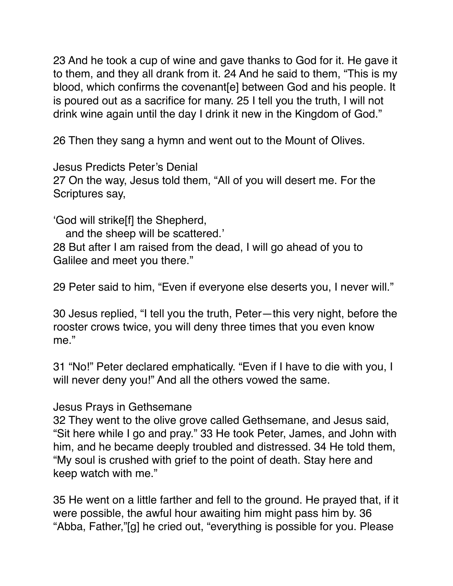23 And he took a cup of wine and gave thanks to God for it. He gave it to them, and they all drank from it. 24 And he said to them, "This is my blood, which confirms the covenant[e] between God and his people. It is poured out as a sacrifice for many. 25 I tell you the truth, I will not drink wine again until the day I drink it new in the Kingdom of God."

26 Then they sang a hymn and went out to the Mount of Olives.

Jesus Predicts Peter's Denial 27 On the way, Jesus told them, "All of you will desert me. For the Scriptures say,

'God will strike[f] the Shepherd,

 and the sheep will be scattered.' 28 But after I am raised from the dead, I will go ahead of you to Galilee and meet you there."

29 Peter said to him, "Even if everyone else deserts you, I never will."

30 Jesus replied, "I tell you the truth, Peter—this very night, before the rooster crows twice, you will deny three times that you even know me."

31 "No!" Peter declared emphatically. "Even if I have to die with you, I will never deny you!" And all the others vowed the same.

#### Jesus Prays in Gethsemane

32 They went to the olive grove called Gethsemane, and Jesus said, "Sit here while I go and pray." 33 He took Peter, James, and John with him, and he became deeply troubled and distressed. 34 He told them, "My soul is crushed with grief to the point of death. Stay here and keep watch with me."

35 He went on a little farther and fell to the ground. He prayed that, if it were possible, the awful hour awaiting him might pass him by. 36 "Abba, Father,"[g] he cried out, "everything is possible for you. Please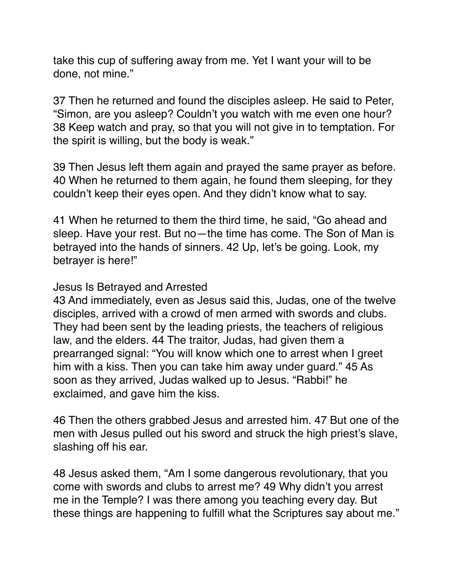take this cup of suffering away from me. Yet I want your will to be done, not mine."

37 Then he returned and found the disciples asleep. He said to Peter, "Simon, are you asleep? Couldn't you watch with me even one hour? 38 Keep watch and pray, so that you will not give in to temptation. For the spirit is willing, but the body is weak."

39 Then Jesus left them again and prayed the same prayer as before. 40 When he returned to them again, he found them sleeping, for they couldn't keep their eyes open. And they didn't know what to say.

41 When he returned to them the third time, he said, "Go ahead and sleep. Have your rest. But no—the time has come. The Son of Man is betrayed into the hands of sinners. 42 Up, let's be going. Look, my betrayer is here!"

#### Jesus Is Betrayed and Arrested

43 And immediately, even as Jesus said this, Judas, one of the twelve disciples, arrived with a crowd of men armed with swords and clubs. They had been sent by the leading priests, the teachers of religious law, and the elders. 44 The traitor, Judas, had given them a prearranged signal: "You will know which one to arrest when I greet him with a kiss. Then you can take him away under guard." 45 As soon as they arrived, Judas walked up to Jesus. "Rabbi!" he exclaimed, and gave him the kiss.

46 Then the others grabbed Jesus and arrested him. 47 But one of the men with Jesus pulled out his sword and struck the high priest's slave, slashing off his ear.

48 Jesus asked them, "Am I some dangerous revolutionary, that you come with swords and clubs to arrest me? 49 Why didn't you arrest me in the Temple? I was there among you teaching every day. But these things are happening to fulfill what the Scriptures say about me."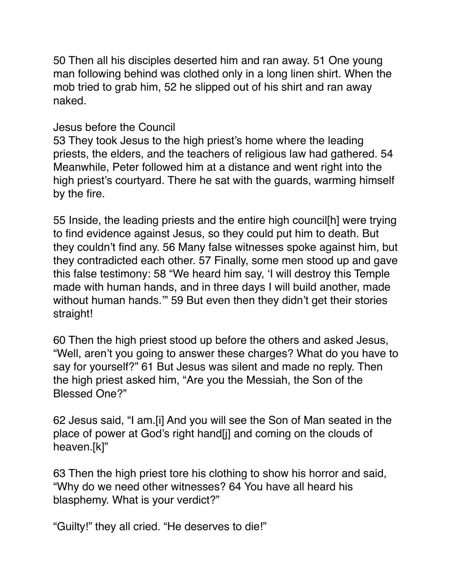50 Then all his disciples deserted him and ran away. 51 One young man following behind was clothed only in a long linen shirt. When the mob tried to grab him, 52 he slipped out of his shirt and ran away naked.

#### Jesus before the Council

53 They took Jesus to the high priest's home where the leading priests, the elders, and the teachers of religious law had gathered. 54 Meanwhile, Peter followed him at a distance and went right into the high priest's courtyard. There he sat with the guards, warming himself by the fire.

55 Inside, the leading priests and the entire high council[h] were trying to find evidence against Jesus, so they could put him to death. But they couldn't find any. 56 Many false witnesses spoke against him, but they contradicted each other. 57 Finally, some men stood up and gave this false testimony: 58 "We heard him say, 'I will destroy this Temple made with human hands, and in three days I will build another, made without human hands." 59 But even then they didn't get their stories straight!

60 Then the high priest stood up before the others and asked Jesus, "Well, aren't you going to answer these charges? What do you have to say for yourself?" 61 But Jesus was silent and made no reply. Then the high priest asked him, "Are you the Messiah, the Son of the Blessed One?"

62 Jesus said, "I am.[i] And you will see the Son of Man seated in the place of power at God's right hand[j] and coming on the clouds of heaven.[k]"

63 Then the high priest tore his clothing to show his horror and said, "Why do we need other witnesses? 64 You have all heard his blasphemy. What is your verdict?"

"Guilty!" they all cried. "He deserves to die!"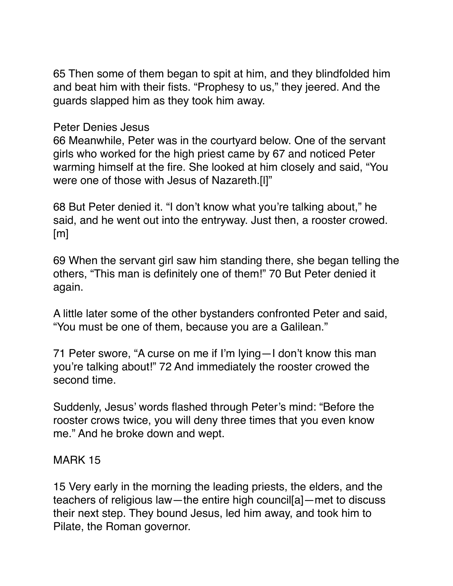65 Then some of them began to spit at him, and they blindfolded him and beat him with their fists. "Prophesy to us," they jeered. And the guards slapped him as they took him away.

Peter Denies Jesus

66 Meanwhile, Peter was in the courtyard below. One of the servant girls who worked for the high priest came by 67 and noticed Peter warming himself at the fire. She looked at him closely and said, "You were one of those with Jesus of Nazareth.[l]"

68 But Peter denied it. "I don't know what you're talking about," he said, and he went out into the entryway. Just then, a rooster crowed. [m]

69 When the servant girl saw him standing there, she began telling the others, "This man is definitely one of them!" 70 But Peter denied it again.

A little later some of the other bystanders confronted Peter and said, "You must be one of them, because you are a Galilean."

71 Peter swore, "A curse on me if I'm lying—I don't know this man you're talking about!" 72 And immediately the rooster crowed the second time.

Suddenly, Jesus' words flashed through Peter's mind: "Before the rooster crows twice, you will deny three times that you even know me." And he broke down and wept.

# MARK 15

15 Very early in the morning the leading priests, the elders, and the teachers of religious law—the entire high council[a]—met to discuss their next step. They bound Jesus, led him away, and took him to Pilate, the Roman governor.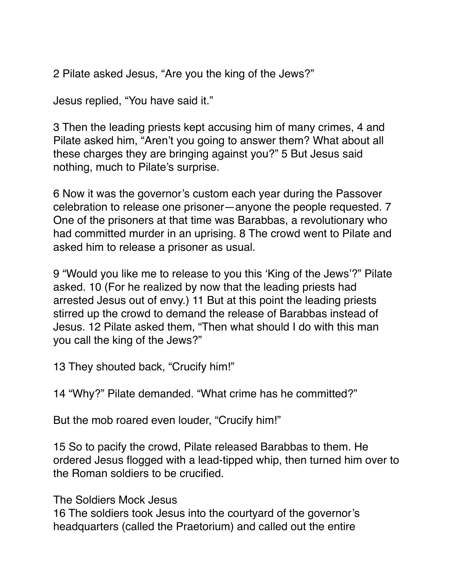2 Pilate asked Jesus, "Are you the king of the Jews?"

Jesus replied, "You have said it."

3 Then the leading priests kept accusing him of many crimes, 4 and Pilate asked him, "Aren't you going to answer them? What about all these charges they are bringing against you?" 5 But Jesus said nothing, much to Pilate's surprise.

6 Now it was the governor's custom each year during the Passover celebration to release one prisoner—anyone the people requested. 7 One of the prisoners at that time was Barabbas, a revolutionary who had committed murder in an uprising. 8 The crowd went to Pilate and asked him to release a prisoner as usual.

9 "Would you like me to release to you this 'King of the Jews'?" Pilate asked. 10 (For he realized by now that the leading priests had arrested Jesus out of envy.) 11 But at this point the leading priests stirred up the crowd to demand the release of Barabbas instead of Jesus. 12 Pilate asked them, "Then what should I do with this man you call the king of the Jews?"

13 They shouted back, "Crucify him!"

14 "Why?" Pilate demanded. "What crime has he committed?"

But the mob roared even louder, "Crucify him!"

15 So to pacify the crowd, Pilate released Barabbas to them. He ordered Jesus flogged with a lead-tipped whip, then turned him over to the Roman soldiers to be crucified.

The Soldiers Mock Jesus

16 The soldiers took Jesus into the courtyard of the governor's headquarters (called the Praetorium) and called out the entire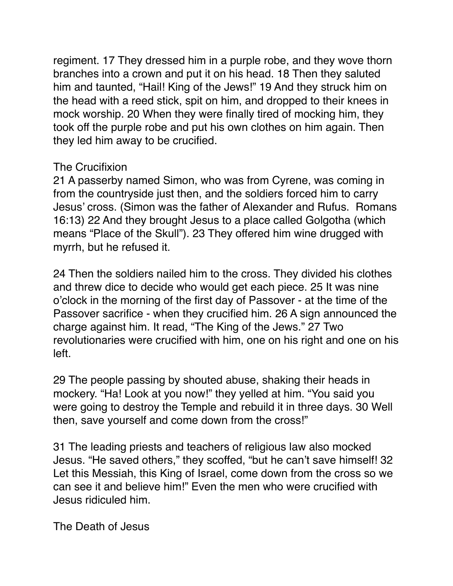regiment. 17 They dressed him in a purple robe, and they wove thorn branches into a crown and put it on his head. 18 Then they saluted him and taunted, "Hail! King of the Jews!" 19 And they struck him on the head with a reed stick, spit on him, and dropped to their knees in mock worship. 20 When they were finally tired of mocking him, they took off the purple robe and put his own clothes on him again. Then they led him away to be crucified.

## The Crucifixion

21 A passerby named Simon, who was from Cyrene, was coming in from the countryside just then, and the soldiers forced him to carry Jesus' cross. (Simon was the father of Alexander and Rufus. Romans 16:13) 22 And they brought Jesus to a place called Golgotha (which means "Place of the Skull"). 23 They offered him wine drugged with myrrh, but he refused it.

24 Then the soldiers nailed him to the cross. They divided his clothes and threw dice to decide who would get each piece. 25 It was nine o'clock in the morning of the first day of Passover - at the time of the Passover sacrifice - when they crucified him. 26 A sign announced the charge against him. It read, "The King of the Jews." 27 Two revolutionaries were crucified with him, one on his right and one on his left.

29 The people passing by shouted abuse, shaking their heads in mockery. "Ha! Look at you now!" they yelled at him. "You said you were going to destroy the Temple and rebuild it in three days. 30 Well then, save yourself and come down from the cross!"

31 The leading priests and teachers of religious law also mocked Jesus. "He saved others," they scoffed, "but he can't save himself! 32 Let this Messiah, this King of Israel, come down from the cross so we can see it and believe him!" Even the men who were crucified with Jesus ridiculed him.

The Death of Jesus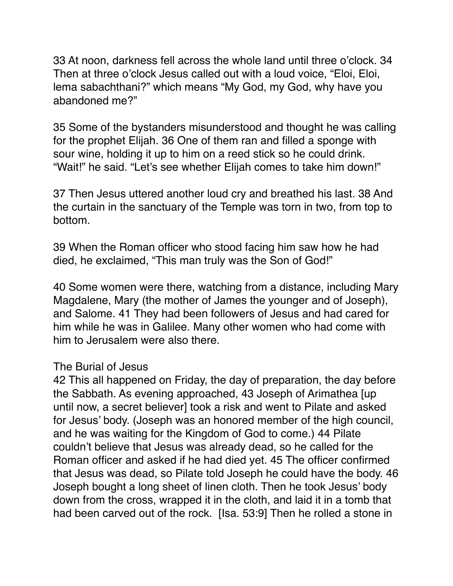33 At noon, darkness fell across the whole land until three o'clock. 34 Then at three o'clock Jesus called out with a loud voice, "Eloi, Eloi, lema sabachthani?" which means "My God, my God, why have you abandoned me?"

35 Some of the bystanders misunderstood and thought he was calling for the prophet Elijah. 36 One of them ran and filled a sponge with sour wine, holding it up to him on a reed stick so he could drink. "Wait!" he said. "Let's see whether Elijah comes to take him down!"

37 Then Jesus uttered another loud cry and breathed his last. 38 And the curtain in the sanctuary of the Temple was torn in two, from top to bottom.

39 When the Roman officer who stood facing him saw how he had died, he exclaimed, "This man truly was the Son of God!"

40 Some women were there, watching from a distance, including Mary Magdalene, Mary (the mother of James the younger and of Joseph), and Salome. 41 They had been followers of Jesus and had cared for him while he was in Galilee. Many other women who had come with him to Jerusalem were also there.

#### The Burial of Jesus

42 This all happened on Friday, the day of preparation, the day before the Sabbath. As evening approached, 43 Joseph of Arimathea [up until now, a secret believer] took a risk and went to Pilate and asked for Jesus' body. (Joseph was an honored member of the high council, and he was waiting for the Kingdom of God to come.) 44 Pilate couldn't believe that Jesus was already dead, so he called for the Roman officer and asked if he had died yet. 45 The officer confirmed that Jesus was dead, so Pilate told Joseph he could have the body. 46 Joseph bought a long sheet of linen cloth. Then he took Jesus' body down from the cross, wrapped it in the cloth, and laid it in a tomb that had been carved out of the rock. [Isa. 53:9] Then he rolled a stone in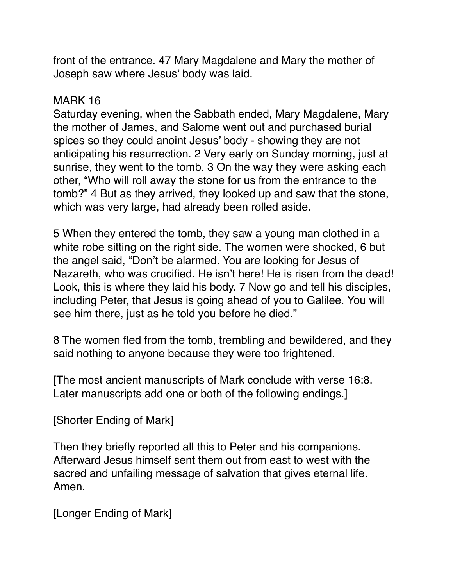front of the entrance. 47 Mary Magdalene and Mary the mother of Joseph saw where Jesus' body was laid.

#### MARK 16

Saturday evening, when the Sabbath ended, Mary Magdalene, Mary the mother of James, and Salome went out and purchased burial spices so they could anoint Jesus' body - showing they are not anticipating his resurrection. 2 Very early on Sunday morning, just at sunrise, they went to the tomb. 3 On the way they were asking each other, "Who will roll away the stone for us from the entrance to the tomb?" 4 But as they arrived, they looked up and saw that the stone, which was very large, had already been rolled aside.

5 When they entered the tomb, they saw a young man clothed in a white robe sitting on the right side. The women were shocked, 6 but the angel said, "Don't be alarmed. You are looking for Jesus of Nazareth, who was crucified. He isn't here! He is risen from the dead! Look, this is where they laid his body. 7 Now go and tell his disciples, including Peter, that Jesus is going ahead of you to Galilee. You will see him there, just as he told you before he died."

8 The women fled from the tomb, trembling and bewildered, and they said nothing to anyone because they were too frightened.

[The most ancient manuscripts of Mark conclude with verse 16:8. Later manuscripts add one or both of the following endings.]

[Shorter Ending of Mark]

Then they briefly reported all this to Peter and his companions. Afterward Jesus himself sent them out from east to west with the sacred and unfailing message of salvation that gives eternal life. Amen.

[Longer Ending of Mark]